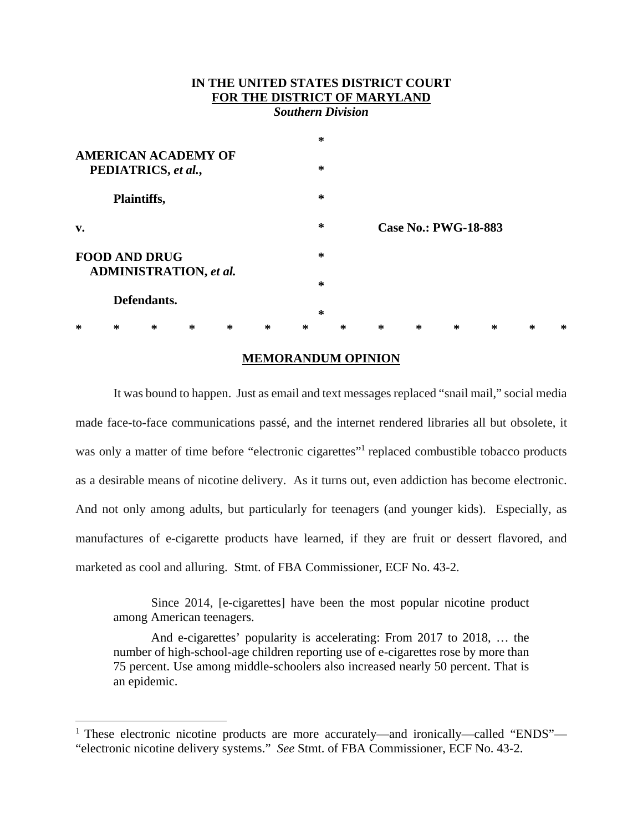# **IN THE UNITED STATES DISTRICT COURT FOR THE DISTRICT OF MARYLAND**

*Southern Division* 

| <b>AMERICAN ACADEMY OF</b><br>PEDIATRICS, et al.,     |   |             |   |   |   | $\ast$ |   |                             |   |   |   |   |   |
|-------------------------------------------------------|---|-------------|---|---|---|--------|---|-----------------------------|---|---|---|---|---|
|                                                       |   |             |   |   |   | ∗      |   |                             |   |   |   |   |   |
| Plaintiffs,                                           |   |             |   |   |   | $\ast$ |   |                             |   |   |   |   |   |
| v.                                                    |   |             |   |   |   | ∗      |   | <b>Case No.: PWG-18-883</b> |   |   |   |   |   |
| <b>FOOD AND DRUG</b><br><b>ADMINISTRATION, et al.</b> |   |             |   |   |   | ∗      |   |                             |   |   |   |   |   |
|                                                       |   |             |   |   |   | $\ast$ |   |                             |   |   |   |   |   |
|                                                       |   | Defendants. |   |   |   |        |   |                             |   |   |   |   |   |
|                                                       |   |             |   |   |   | $\ast$ |   |                             |   |   |   |   |   |
| ∗                                                     | ∗ | ∗           | ∗ | ∗ | ∗ | ∗      | ∗ | $\ast$                      | ∗ | ∗ | ∗ | ∗ | ∗ |

### **MEMORANDUM OPINION**

It was bound to happen. Just as email and text messages replaced "snail mail," social media made face-to-face communications passé, and the internet rendered libraries all but obsolete, it was only a matter of time before "electronic cigarettes"<sup>1</sup> replaced combustible tobacco products as a desirable means of nicotine delivery. As it turns out, even addiction has become electronic. And not only among adults, but particularly for teenagers (and younger kids). Especially, as manufactures of e-cigarette products have learned, if they are fruit or dessert flavored, and marketed as cool and alluring. Stmt. of FBA Commissioner, ECF No. 43-2.

Since 2014, [e-cigarettes] have been the most popular nicotine product among American teenagers.

And e-cigarettes' popularity is accelerating: From 2017 to 2018, … the number of high-school-age children reporting use of e-cigarettes rose by more than 75 percent. Use among middle-schoolers also increased nearly 50 percent. That is an epidemic.

<sup>&</sup>lt;sup>1</sup> These electronic nicotine products are more accurately—and ironically—called "ENDS"— "electronic nicotine delivery systems." *See* Stmt. of FBA Commissioner, ECF No. 43-2.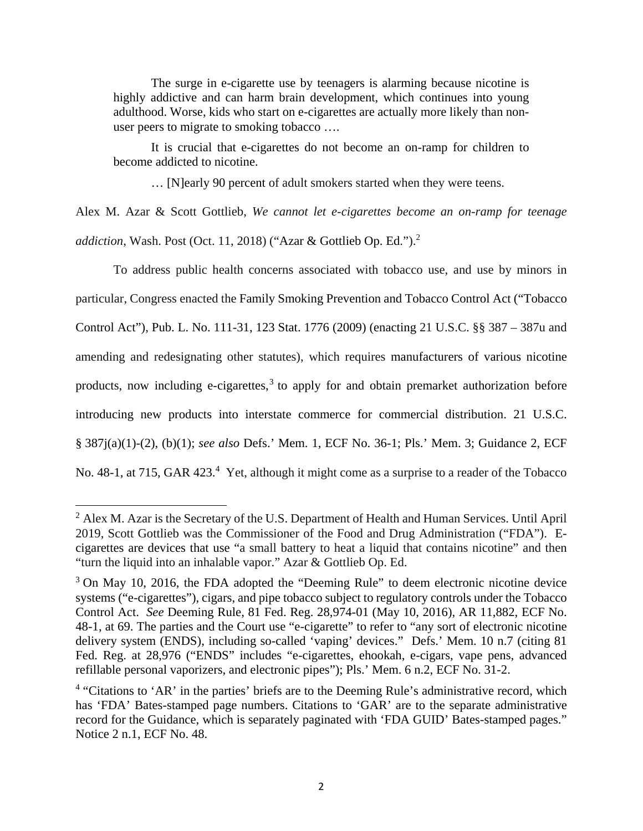The surge in e-cigarette use by teenagers is alarming because nicotine is highly addictive and can harm brain development, which continues into young adulthood. Worse, kids who start on e-cigarettes are actually more likely than nonuser peers to migrate to smoking tobacco ….

It is crucial that e-cigarettes do not become an on-ramp for children to become addicted to nicotine.

… [N]early 90 percent of adult smokers started when they were teens.

Alex M. Azar & Scott Gottlieb, *We cannot let e-cigarettes become an on-ramp for teenage addiction*, Wash. Post (Oct. 11, 2018) ("Azar & Gottlieb Op. Ed.").2

To address public health concerns associated with tobacco use, and use by minors in particular, Congress enacted the Family Smoking Prevention and Tobacco Control Act ("Tobacco Control Act"), Pub. L. No. 111-31, 123 Stat. 1776 (2009) (enacting 21 U.S.C. §§ 387 – 387u and amending and redesignating other statutes), which requires manufacturers of various nicotine products, now including e-cigarettes,<sup>3</sup> to apply for and obtain premarket authorization before introducing new products into interstate commerce for commercial distribution. 21 U.S.C. § 387j(a)(1)-(2), (b)(1); *see also* Defs.' Mem. 1, ECF No. 36-1; Pls.' Mem. 3; Guidance 2, ECF No. 48-1, at 715, GAR 423.<sup>4</sup> Yet, although it might come as a surprise to a reader of the Tobacco

<sup>&</sup>lt;sup>2</sup> Alex M. Azar is the Secretary of the U.S. Department of Health and Human Services. Until April 2019, Scott Gottlieb was the Commissioner of the Food and Drug Administration ("FDA"). Ecigarettes are devices that use "a small battery to heat a liquid that contains nicotine" and then "turn the liquid into an inhalable vapor." Azar & Gottlieb Op. Ed.

<sup>&</sup>lt;sup>3</sup> On May 10, 2016, the FDA adopted the "Deeming Rule" to deem electronic nicotine device systems ("e-cigarettes"), cigars, and pipe tobacco subject to regulatory controls under the Tobacco Control Act. *See* Deeming Rule, 81 Fed. Reg. 28,974-01 (May 10, 2016), AR 11,882, ECF No. 48-1, at 69. The parties and the Court use "e-cigarette" to refer to "any sort of electronic nicotine delivery system (ENDS), including so-called 'vaping' devices." Defs.' Mem. 10 n.7 (citing 81 Fed. Reg. at 28,976 ("ENDS" includes "e-cigarettes, ehookah, e-cigars, vape pens, advanced refillable personal vaporizers, and electronic pipes"); Pls.' Mem. 6 n.2, ECF No. 31-2.

<sup>&</sup>lt;sup>4</sup> "Citations to 'AR' in the parties' briefs are to the Deeming Rule's administrative record, which has 'FDA' Bates-stamped page numbers. Citations to 'GAR' are to the separate administrative record for the Guidance, which is separately paginated with 'FDA GUID' Bates-stamped pages." Notice 2 n.1, ECF No. 48.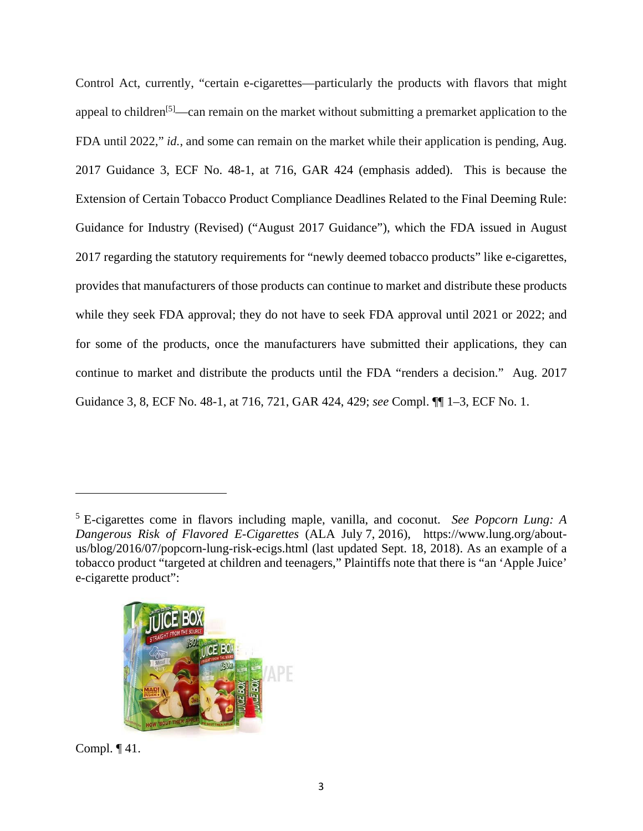Control Act, currently, "certain e-cigarettes—particularly the products with flavors that might appeal to children<sup>[5]</sup>—can remain on the market without submitting a premarket application to the FDA until 2022," *id.*, and some can remain on the market while their application is pending, Aug. 2017 Guidance 3, ECF No. 48-1, at 716, GAR 424 (emphasis added). This is because the Extension of Certain Tobacco Product Compliance Deadlines Related to the Final Deeming Rule: Guidance for Industry (Revised) ("August 2017 Guidance"), which the FDA issued in August 2017 regarding the statutory requirements for "newly deemed tobacco products" like e-cigarettes, provides that manufacturers of those products can continue to market and distribute these products while they seek FDA approval; they do not have to seek FDA approval until 2021 or 2022; and for some of the products, once the manufacturers have submitted their applications, they can continue to market and distribute the products until the FDA "renders a decision." Aug. 2017 Guidance 3, 8, ECF No. 48-1, at 716, 721, GAR 424, 429; *see* Compl. ¶¶ 1–3, ECF No. 1.

<sup>5</sup> E-cigarettes come in flavors including maple, vanilla, and coconut. *See Popcorn Lung: A Dangerous Risk of Flavored E-Cigarettes* (ALA July 7, 2016), https://www.lung.org/aboutus/blog/2016/07/popcorn-lung-risk-ecigs.html (last updated Sept. 18, 2018). As an example of a tobacco product "targeted at children and teenagers," Plaintiffs note that there is "an 'Apple Juice' e-cigarette product":



Compl. ¶ 41.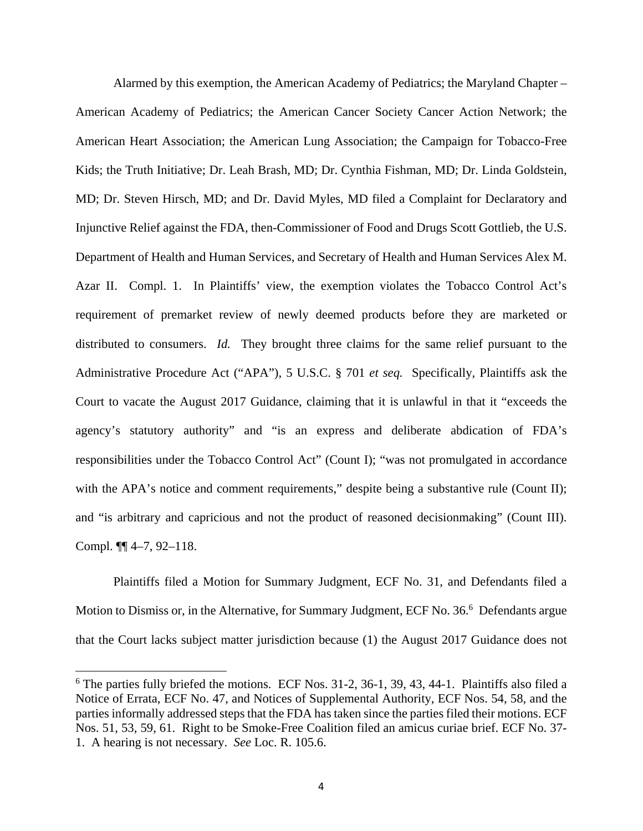Alarmed by this exemption, the American Academy of Pediatrics; the Maryland Chapter – American Academy of Pediatrics; the American Cancer Society Cancer Action Network; the American Heart Association; the American Lung Association; the Campaign for Tobacco-Free Kids; the Truth Initiative; Dr. Leah Brash, MD; Dr. Cynthia Fishman, MD; Dr. Linda Goldstein, MD; Dr. Steven Hirsch, MD; and Dr. David Myles, MD filed a Complaint for Declaratory and Injunctive Relief against the FDA, then-Commissioner of Food and Drugs Scott Gottlieb, the U.S. Department of Health and Human Services, and Secretary of Health and Human Services Alex M. Azar II. Compl. 1. In Plaintiffs' view, the exemption violates the Tobacco Control Act's requirement of premarket review of newly deemed products before they are marketed or distributed to consumers. *Id.* They brought three claims for the same relief pursuant to the Administrative Procedure Act ("APA"), 5 U.S.C. § 701 *et seq.* Specifically, Plaintiffs ask the Court to vacate the August 2017 Guidance, claiming that it is unlawful in that it "exceeds the agency's statutory authority" and "is an express and deliberate abdication of FDA's responsibilities under the Tobacco Control Act" (Count I); "was not promulgated in accordance with the APA's notice and comment requirements," despite being a substantive rule (Count II); and "is arbitrary and capricious and not the product of reasoned decisionmaking" (Count III). Compl. ¶¶ 4–7, 92–118.

Plaintiffs filed a Motion for Summary Judgment, ECF No. 31, and Defendants filed a Motion to Dismiss or, in the Alternative, for Summary Judgment, ECF No. 36.<sup>6</sup> Defendants argue that the Court lacks subject matter jurisdiction because (1) the August 2017 Guidance does not

1

<sup>&</sup>lt;sup>6</sup> The parties fully briefed the motions. ECF Nos. 31-2, 36-1, 39, 43, 44-1. Plaintiffs also filed a Notice of Errata, ECF No. 47, and Notices of Supplemental Authority, ECF Nos. 54, 58, and the parties informally addressed steps that the FDA has taken since the parties filed their motions. ECF Nos. 51, 53, 59, 61. Right to be Smoke-Free Coalition filed an amicus curiae brief. ECF No. 37- 1. A hearing is not necessary. *See* Loc. R. 105.6.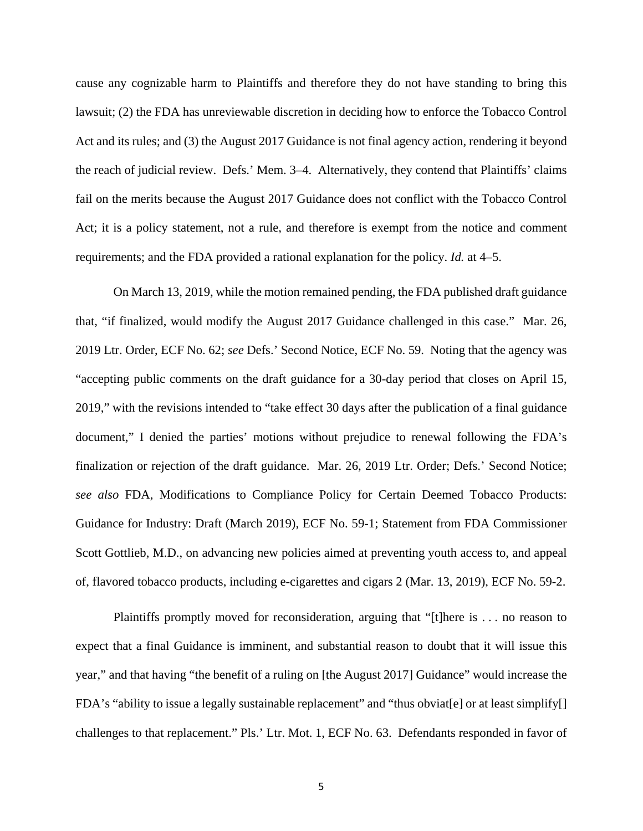cause any cognizable harm to Plaintiffs and therefore they do not have standing to bring this lawsuit; (2) the FDA has unreviewable discretion in deciding how to enforce the Tobacco Control Act and its rules; and (3) the August 2017 Guidance is not final agency action, rendering it beyond the reach of judicial review. Defs.' Mem. 3–4. Alternatively, they contend that Plaintiffs' claims fail on the merits because the August 2017 Guidance does not conflict with the Tobacco Control Act; it is a policy statement, not a rule, and therefore is exempt from the notice and comment requirements; and the FDA provided a rational explanation for the policy. *Id.* at 4–5.

On March 13, 2019, while the motion remained pending, the FDA published draft guidance that, "if finalized, would modify the August 2017 Guidance challenged in this case." Mar. 26, 2019 Ltr. Order, ECF No. 62; *see* Defs.' Second Notice, ECF No. 59. Noting that the agency was "accepting public comments on the draft guidance for a 30-day period that closes on April 15, 2019," with the revisions intended to "take effect 30 days after the publication of a final guidance document," I denied the parties' motions without prejudice to renewal following the FDA's finalization or rejection of the draft guidance. Mar. 26, 2019 Ltr. Order; Defs.' Second Notice; *see also* FDA, Modifications to Compliance Policy for Certain Deemed Tobacco Products: Guidance for Industry: Draft (March 2019), ECF No. 59-1; Statement from FDA Commissioner Scott Gottlieb, M.D., on advancing new policies aimed at preventing youth access to, and appeal of, flavored tobacco products, including e-cigarettes and cigars 2 (Mar. 13, 2019), ECF No. 59-2.

Plaintiffs promptly moved for reconsideration, arguing that "[t]here is . . . no reason to expect that a final Guidance is imminent, and substantial reason to doubt that it will issue this year," and that having "the benefit of a ruling on [the August 2017] Guidance" would increase the FDA's "ability to issue a legally sustainable replacement" and "thus obviat[e] or at least simplify[] challenges to that replacement." Pls.' Ltr. Mot. 1, ECF No. 63. Defendants responded in favor of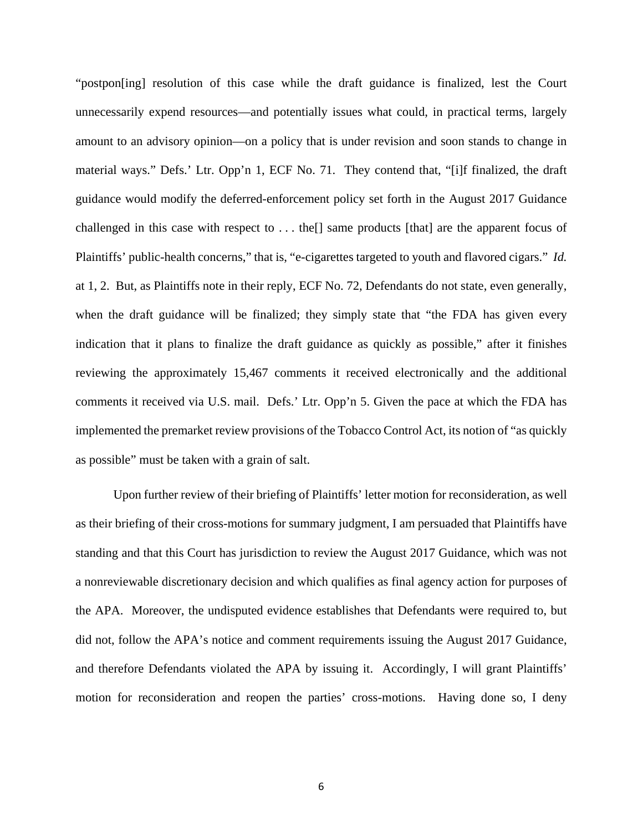"postpon[ing] resolution of this case while the draft guidance is finalized, lest the Court unnecessarily expend resources—and potentially issues what could, in practical terms, largely amount to an advisory opinion—on a policy that is under revision and soon stands to change in material ways." Defs.' Ltr. Opp'n 1, ECF No. 71. They contend that, "[i]f finalized, the draft guidance would modify the deferred-enforcement policy set forth in the August 2017 Guidance challenged in this case with respect to . . . the[] same products [that] are the apparent focus of Plaintiffs' public-health concerns," that is, "e-cigarettes targeted to youth and flavored cigars." *Id.*  at 1, 2. But, as Plaintiffs note in their reply, ECF No. 72, Defendants do not state, even generally, when the draft guidance will be finalized; they simply state that "the FDA has given every indication that it plans to finalize the draft guidance as quickly as possible," after it finishes reviewing the approximately 15,467 comments it received electronically and the additional comments it received via U.S. mail. Defs.' Ltr. Opp'n 5. Given the pace at which the FDA has implemented the premarket review provisions of the Tobacco Control Act, its notion of "as quickly as possible" must be taken with a grain of salt.

Upon further review of their briefing of Plaintiffs' letter motion for reconsideration, as well as their briefing of their cross-motions for summary judgment, I am persuaded that Plaintiffs have standing and that this Court has jurisdiction to review the August 2017 Guidance, which was not a nonreviewable discretionary decision and which qualifies as final agency action for purposes of the APA. Moreover, the undisputed evidence establishes that Defendants were required to, but did not, follow the APA's notice and comment requirements issuing the August 2017 Guidance, and therefore Defendants violated the APA by issuing it. Accordingly, I will grant Plaintiffs' motion for reconsideration and reopen the parties' cross-motions. Having done so, I deny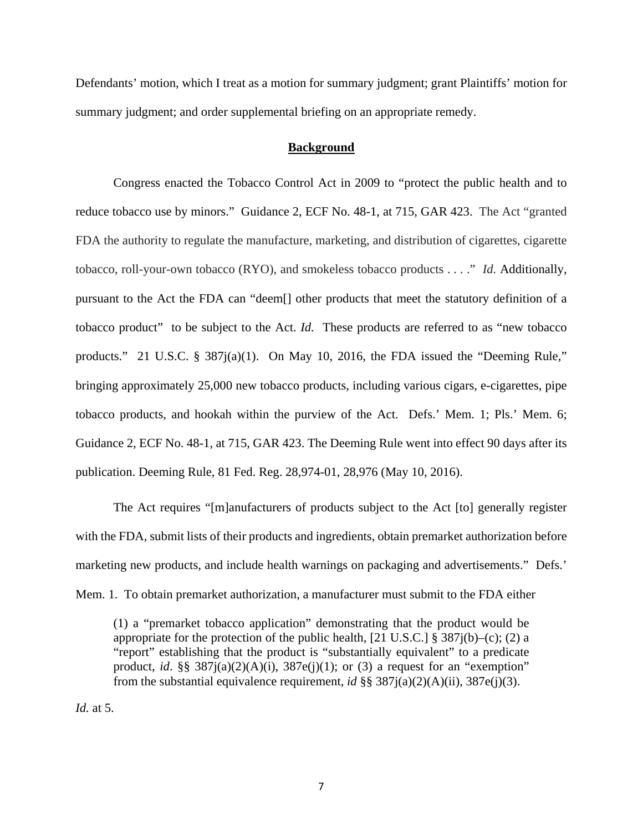Defendants' motion, which I treat as a motion for summary judgment; grant Plaintiffs' motion for summary judgment; and order supplemental briefing on an appropriate remedy.

#### **Background**

Congress enacted the Tobacco Control Act in 2009 to "protect the public health and to reduce tobacco use by minors." Guidance 2, ECF No. 48-1, at 715, GAR 423. The Act "granted FDA the authority to regulate the manufacture, marketing, and distribution of cigarettes, cigarette tobacco, roll-your-own tobacco (RYO), and smokeless tobacco products . . . ." *Id.* Additionally, pursuant to the Act the FDA can "deem[] other products that meet the statutory definition of a tobacco product" to be subject to the Act. *Id.* These products are referred to as "new tobacco products." 21 U.S.C. § 387j(a)(1). On May 10, 2016, the FDA issued the "Deeming Rule," bringing approximately 25,000 new tobacco products, including various cigars, e-cigarettes, pipe tobacco products, and hookah within the purview of the Act. Defs.' Mem. 1; Pls.' Mem. 6; Guidance 2, ECF No. 48-1, at 715, GAR 423. The Deeming Rule went into effect 90 days after its publication. Deeming Rule, 81 Fed. Reg. 28,974-01, 28,976 (May 10, 2016).

The Act requires "[m]anufacturers of products subject to the Act [to] generally register with the FDA, submit lists of their products and ingredients, obtain premarket authorization before marketing new products, and include health warnings on packaging and advertisements." Defs.' Mem. 1. To obtain premarket authorization, a manufacturer must submit to the FDA either

(1) a "premarket tobacco application" demonstrating that the product would be appropriate for the protection of the public health,  $[21 \text{ U.S.C.}]$  § 387 $j(b)$ –(c); (2) a "report" establishing that the product is "substantially equivalent" to a predicate product, *id.* §§  $387i(a)(2)(A)(i)$ ,  $387e(i)(1)$ ; or (3) a request for an "exemption" from the substantial equivalence requirement, *id* §§ 387j(a)(2)(A)(ii), 387e(j)(3).

*Id.* at 5.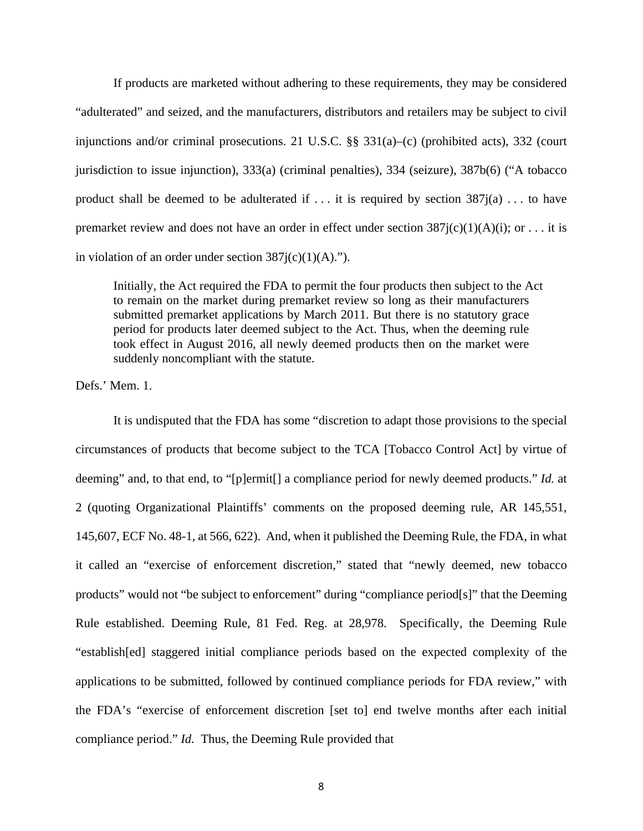If products are marketed without adhering to these requirements, they may be considered "adulterated" and seized, and the manufacturers, distributors and retailers may be subject to civil injunctions and/or criminal prosecutions. 21 U.S.C. §§ 331(a)–(c) (prohibited acts), 332 (court jurisdiction to issue injunction), 333(a) (criminal penalties), 334 (seizure), 387b(6) ("A tobacco product shall be deemed to be adulterated if  $\dots$  it is required by section  $387i(a) \dots$  to have premarket review and does not have an order in effect under section  $387j(c)(1)(A)(i)$ ; or ... it is in violation of an order under section  $387j(c)(1)(A)$ .").

Initially, the Act required the FDA to permit the four products then subject to the Act to remain on the market during premarket review so long as their manufacturers submitted premarket applications by March 2011. But there is no statutory grace period for products later deemed subject to the Act. Thus, when the deeming rule took effect in August 2016, all newly deemed products then on the market were suddenly noncompliant with the statute.

Defs.' Mem. 1.

It is undisputed that the FDA has some "discretion to adapt those provisions to the special circumstances of products that become subject to the TCA [Tobacco Control Act] by virtue of deeming" and, to that end, to "[p]ermit[] a compliance period for newly deemed products." *Id.* at 2 (quoting Organizational Plaintiffs' comments on the proposed deeming rule, AR 145,551, 145,607, ECF No. 48-1, at 566, 622). And, when it published the Deeming Rule, the FDA, in what it called an "exercise of enforcement discretion," stated that "newly deemed, new tobacco products" would not "be subject to enforcement" during "compliance period[s]" that the Deeming Rule established. Deeming Rule, 81 Fed. Reg. at 28,978. Specifically, the Deeming Rule "establish[ed] staggered initial compliance periods based on the expected complexity of the applications to be submitted, followed by continued compliance periods for FDA review," with the FDA's "exercise of enforcement discretion [set to] end twelve months after each initial compliance period." *Id.* Thus, the Deeming Rule provided that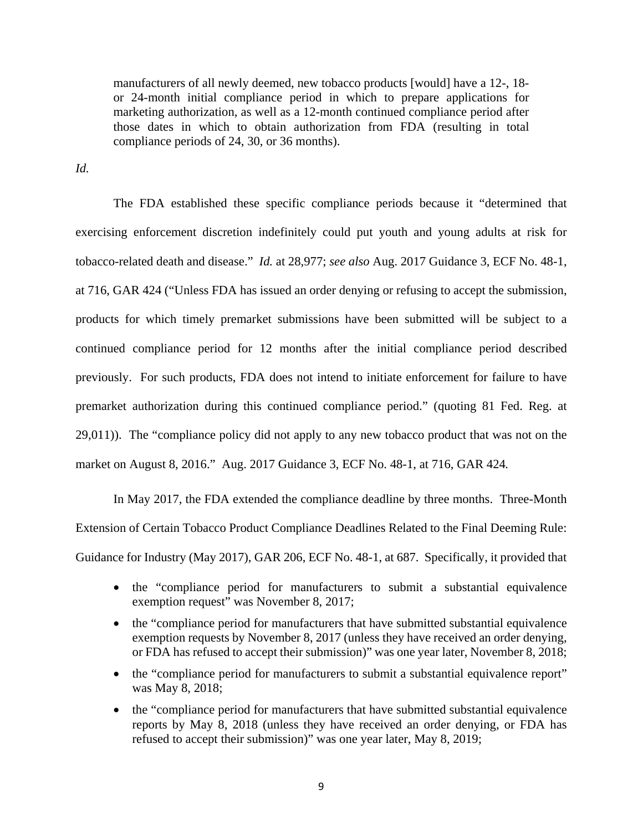manufacturers of all newly deemed, new tobacco products [would] have a 12-, 18 or 24-month initial compliance period in which to prepare applications for marketing authorization, as well as a 12-month continued compliance period after those dates in which to obtain authorization from FDA (resulting in total compliance periods of 24, 30, or 36 months).

*Id.*

The FDA established these specific compliance periods because it "determined that exercising enforcement discretion indefinitely could put youth and young adults at risk for tobacco-related death and disease." *Id.* at 28,977; *see also* Aug. 2017 Guidance 3, ECF No. 48-1, at 716, GAR 424 ("Unless FDA has issued an order denying or refusing to accept the submission, products for which timely premarket submissions have been submitted will be subject to a continued compliance period for 12 months after the initial compliance period described previously. For such products, FDA does not intend to initiate enforcement for failure to have premarket authorization during this continued compliance period." (quoting 81 Fed. Reg. at 29,011)). The "compliance policy did not apply to any new tobacco product that was not on the market on August 8, 2016." Aug. 2017 Guidance 3, ECF No. 48-1, at 716, GAR 424*.* 

In May 2017, the FDA extended the compliance deadline by three months. Three-Month Extension of Certain Tobacco Product Compliance Deadlines Related to the Final Deeming Rule: Guidance for Industry (May 2017), GAR 206, ECF No. 48-1, at 687. Specifically, it provided that

- the "compliance period for manufacturers to submit a substantial equivalence exemption request" was November 8, 2017;
- the "compliance period for manufacturers that have submitted substantial equivalence exemption requests by November 8, 2017 (unless they have received an order denying, or FDA has refused to accept their submission)" was one year later, November 8, 2018;
- the "compliance period for manufacturers to submit a substantial equivalence report" was May 8, 2018;
- the "compliance period for manufacturers that have submitted substantial equivalence reports by May 8, 2018 (unless they have received an order denying, or FDA has refused to accept their submission)" was one year later, May 8, 2019;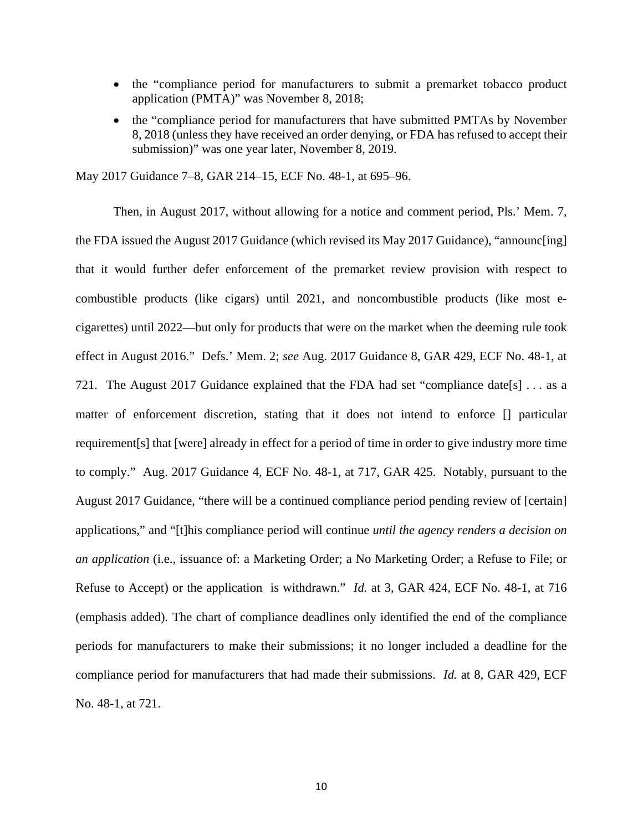- the "compliance period for manufacturers to submit a premarket tobacco product application (PMTA)" was November 8, 2018;
- the "compliance period for manufacturers that have submitted PMTAs by November 8, 2018 (unless they have received an order denying, or FDA has refused to accept their submission)" was one year later, November 8, 2019.

May 2017 Guidance 7–8, GAR 214–15, ECF No. 48-1, at 695–96.

Then, in August 2017, without allowing for a notice and comment period, Pls.' Mem. 7, the FDA issued the August 2017 Guidance (which revised its May 2017 Guidance), "announc[ing] that it would further defer enforcement of the premarket review provision with respect to combustible products (like cigars) until 2021, and noncombustible products (like most ecigarettes) until 2022—but only for products that were on the market when the deeming rule took effect in August 2016." Defs.' Mem. 2; *see* Aug. 2017 Guidance 8, GAR 429, ECF No. 48-1, at 721. The August 2017 Guidance explained that the FDA had set "compliance date[s] . . . as a matter of enforcement discretion, stating that it does not intend to enforce [] particular requirement[s] that [were] already in effect for a period of time in order to give industry more time to comply." Aug. 2017 Guidance 4, ECF No. 48-1, at 717, GAR 425. Notably, pursuant to the August 2017 Guidance, "there will be a continued compliance period pending review of [certain] applications," and "[t]his compliance period will continue *until the agency renders a decision on an application* (i.e., issuance of: a Marketing Order; a No Marketing Order; a Refuse to File; or Refuse to Accept) or the application is withdrawn." *Id.* at 3, GAR 424, ECF No. 48-1, at 716 (emphasis added)*.* The chart of compliance deadlines only identified the end of the compliance periods for manufacturers to make their submissions; it no longer included a deadline for the compliance period for manufacturers that had made their submissions. *Id.* at 8, GAR 429, ECF No. 48-1, at 721.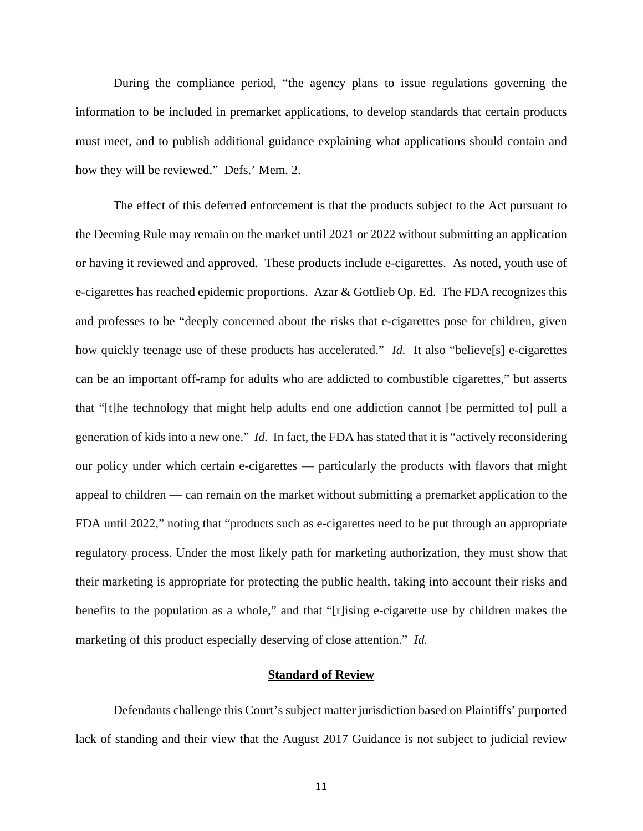During the compliance period, "the agency plans to issue regulations governing the information to be included in premarket applications, to develop standards that certain products must meet, and to publish additional guidance explaining what applications should contain and how they will be reviewed." Defs.' Mem. 2.

The effect of this deferred enforcement is that the products subject to the Act pursuant to the Deeming Rule may remain on the market until 2021 or 2022 without submitting an application or having it reviewed and approved. These products include e-cigarettes. As noted, youth use of e-cigarettes has reached epidemic proportions. Azar & Gottlieb Op. Ed. The FDA recognizes this and professes to be "deeply concerned about the risks that e-cigarettes pose for children, given how quickly teenage use of these products has accelerated." *Id.* It also "believe[s] e-cigarettes can be an important off-ramp for adults who are addicted to combustible cigarettes," but asserts that "[t]he technology that might help adults end one addiction cannot [be permitted to] pull a generation of kids into a new one." *Id.* In fact, the FDA has stated that it is "actively reconsidering our policy under which certain e-cigarettes — particularly the products with flavors that might appeal to children — can remain on the market without submitting a premarket application to the FDA until 2022," noting that "products such as e-cigarettes need to be put through an appropriate regulatory process. Under the most likely path for marketing authorization, they must show that their marketing is appropriate for protecting the public health, taking into account their risks and benefits to the population as a whole," and that "[r]ising e-cigarette use by children makes the marketing of this product especially deserving of close attention." *Id.*

## **Standard of Review**

Defendants challenge this Court's subject matter jurisdiction based on Plaintiffs' purported lack of standing and their view that the August 2017 Guidance is not subject to judicial review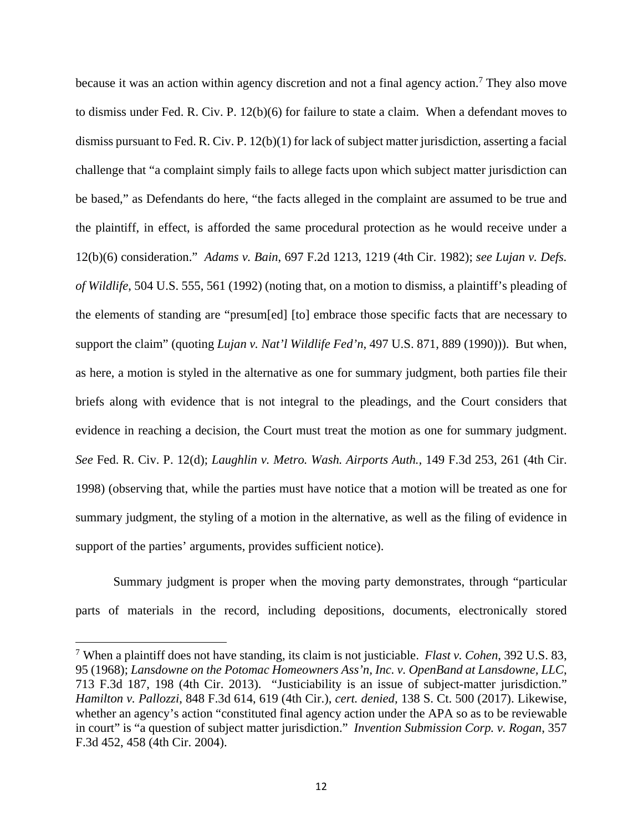because it was an action within agency discretion and not a final agency action.<sup>7</sup> They also move to dismiss under Fed. R. Civ. P. 12(b)(6) for failure to state a claim. When a defendant moves to dismiss pursuant to Fed. R. Civ. P. 12(b)(1) for lack of subject matter jurisdiction, asserting a facial challenge that "a complaint simply fails to allege facts upon which subject matter jurisdiction can be based," as Defendants do here, "the facts alleged in the complaint are assumed to be true and the plaintiff, in effect, is afforded the same procedural protection as he would receive under a 12(b)(6) consideration." *Adams v. Bain*, 697 F.2d 1213, 1219 (4th Cir. 1982); *see Lujan v. Defs. of Wildlife*, 504 U.S. 555, 561 (1992) (noting that, on a motion to dismiss, a plaintiff's pleading of the elements of standing are "presum[ed] [to] embrace those specific facts that are necessary to support the claim" (quoting *Lujan v. Nat'l Wildlife Fed'n*, 497 U.S. 871, 889 (1990))). But when, as here, a motion is styled in the alternative as one for summary judgment, both parties file their briefs along with evidence that is not integral to the pleadings, and the Court considers that evidence in reaching a decision, the Court must treat the motion as one for summary judgment. *See* Fed. R. Civ. P. 12(d); *Laughlin v. Metro. Wash. Airports Auth.,* 149 F.3d 253, 261 (4th Cir. 1998) (observing that, while the parties must have notice that a motion will be treated as one for summary judgment, the styling of a motion in the alternative, as well as the filing of evidence in support of the parties' arguments, provides sufficient notice).

Summary judgment is proper when the moving party demonstrates, through "particular parts of materials in the record, including depositions, documents, electronically stored

<sup>7</sup> When a plaintiff does not have standing, its claim is not justiciable. *Flast v. Cohen*, 392 U.S. 83, 95 (1968); *Lansdowne on the Potomac Homeowners Ass'n, Inc. v. OpenBand at Lansdowne, LLC*, 713 F.3d 187, 198 (4th Cir. 2013). "Justiciability is an issue of subject-matter jurisdiction." *Hamilton v. Pallozzi*, 848 F.3d 614, 619 (4th Cir.), *cert. denied,* 138 S. Ct. 500 (2017). Likewise, whether an agency's action "constituted final agency action under the APA so as to be reviewable in court" is "a question of subject matter jurisdiction." *Invention Submission Corp. v. Rogan*, 357 F.3d 452, 458 (4th Cir. 2004).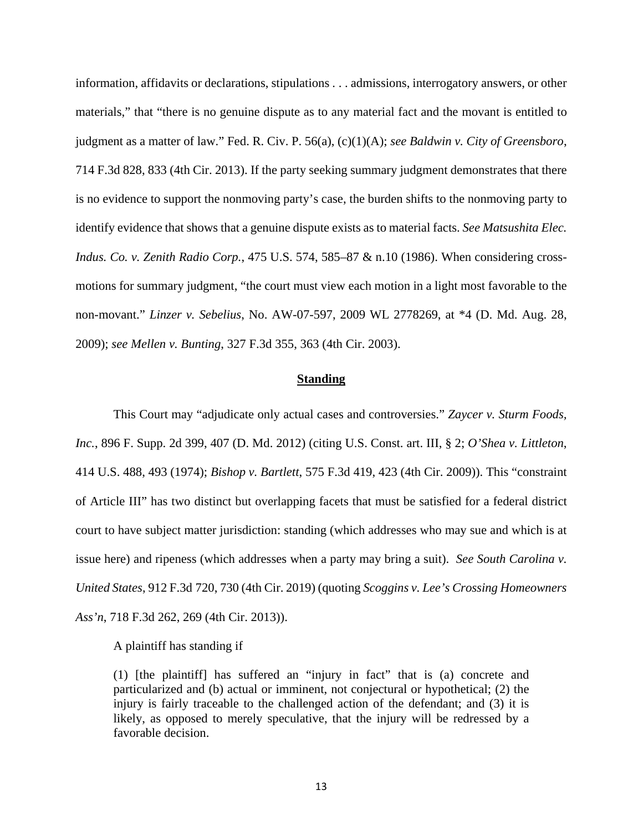information, affidavits or declarations, stipulations . . . admissions, interrogatory answers, or other materials," that "there is no genuine dispute as to any material fact and the movant is entitled to judgment as a matter of law." Fed. R. Civ. P. 56(a), (c)(1)(A); *see Baldwin v. City of Greensboro*, 714 F.3d 828, 833 (4th Cir. 2013). If the party seeking summary judgment demonstrates that there is no evidence to support the nonmoving party's case, the burden shifts to the nonmoving party to identify evidence that shows that a genuine dispute exists as to material facts. *See Matsushita Elec. Indus. Co. v. Zenith Radio Corp.*, 475 U.S. 574, 585–87 & n.10 (1986). When considering crossmotions for summary judgment, "the court must view each motion in a light most favorable to the non-movant." *Linzer v. Sebelius*, No. AW-07-597, 2009 WL 2778269, at \*4 (D. Md. Aug. 28, 2009); *see Mellen v. Bunting*, 327 F.3d 355, 363 (4th Cir. 2003).

### **Standing**

This Court may "adjudicate only actual cases and controversies." *Zaycer v. Sturm Foods, Inc.*, 896 F. Supp. 2d 399, 407 (D. Md. 2012) (citing U.S. Const. art. III, § 2; *O'Shea v. Littleton*, 414 U.S. 488, 493 (1974); *Bishop v. Bartlett*, 575 F.3d 419, 423 (4th Cir. 2009)). This "constraint of Article III" has two distinct but overlapping facets that must be satisfied for a federal district court to have subject matter jurisdiction: standing (which addresses who may sue and which is at issue here) and ripeness (which addresses when a party may bring a suit). *See South Carolina v. United States*, 912 F.3d 720, 730 (4th Cir. 2019) (quoting *Scoggins v. Lee's Crossing Homeowners Ass'n*, 718 F.3d 262, 269 (4th Cir. 2013)).

A plaintiff has standing if

(1) [the plaintiff] has suffered an "injury in fact" that is (a) concrete and particularized and (b) actual or imminent, not conjectural or hypothetical; (2) the injury is fairly traceable to the challenged action of the defendant; and (3) it is likely, as opposed to merely speculative, that the injury will be redressed by a favorable decision.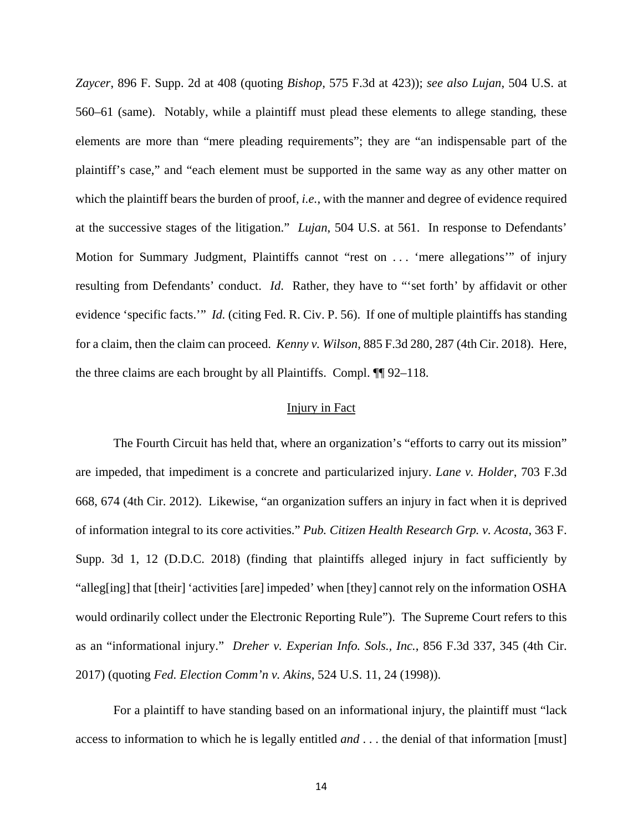*Zaycer*, 896 F. Supp. 2d at 408 (quoting *Bishop,* 575 F.3d at 423)); *see also Lujan*, 504 U.S. at 560–61 (same). Notably, while a plaintiff must plead these elements to allege standing, these elements are more than "mere pleading requirements"; they are "an indispensable part of the plaintiff's case," and "each element must be supported in the same way as any other matter on which the plaintiff bears the burden of proof, *i.e.*, with the manner and degree of evidence required at the successive stages of the litigation." *Lujan*, 504 U.S. at 561.In response to Defendants' Motion for Summary Judgment, Plaintiffs cannot "rest on ... 'mere allegations" of injury resulting from Defendants' conduct. *Id*. Rather, they have to "'set forth' by affidavit or other evidence 'specific facts.'" *Id.* (citing Fed. R. Civ. P. 56). If one of multiple plaintiffs has standing for a claim, then the claim can proceed. *Kenny v. Wilson*, 885 F.3d 280, 287 (4th Cir. 2018). Here, the three claims are each brought by all Plaintiffs. Compl. ¶¶ 92–118.

### Injury in Fact

The Fourth Circuit has held that, where an organization's "efforts to carry out its mission" are impeded, that impediment is a concrete and particularized injury. *Lane v. Holder*, 703 F.3d 668, 674 (4th Cir. 2012). Likewise, "an organization suffers an injury in fact when it is deprived of information integral to its core activities." *Pub. Citizen Health Research Grp. v. Acosta*, 363 F. Supp. 3d 1, 12 (D.D.C. 2018) (finding that plaintiffs alleged injury in fact sufficiently by "alleg[ing] that [their] 'activities [are] impeded' when [they] cannot rely on the information OSHA would ordinarily collect under the Electronic Reporting Rule"). The Supreme Court refers to this as an "informational injury." *Dreher v. Experian Info. Sols., Inc.*, 856 F.3d 337, 345 (4th Cir. 2017) (quoting *Fed. Election Comm'n v. Akins*, 524 U.S. 11, 24 (1998)).

For a plaintiff to have standing based on an informational injury, the plaintiff must "lack access to information to which he is legally entitled *and* . . . the denial of that information [must]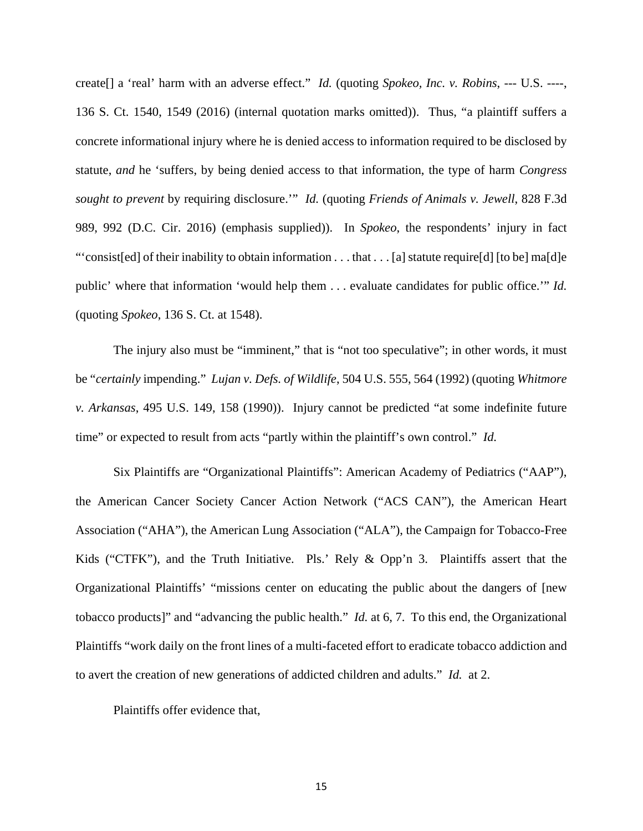create[] a 'real' harm with an adverse effect." *Id.* (quoting *Spokeo, Inc. v. Robins*, --- U.S. ----, 136 S. Ct. 1540, 1549 (2016) (internal quotation marks omitted)). Thus, "a plaintiff suffers a concrete informational injury where he is denied access to information required to be disclosed by statute, *and* he 'suffers, by being denied access to that information, the type of harm *Congress sought to prevent* by requiring disclosure.'" *Id.* (quoting *Friends of Animals v. Jewell*, 828 F.3d 989, 992 (D.C. Cir. 2016) (emphasis supplied)). In *Spokeo*, the respondents' injury in fact "'consist[ed] of their inability to obtain information . . . that . . . [a] statute require[d] [to be] ma[d]e public' where that information 'would help them . . . evaluate candidates for public office.'" *Id.*  (quoting *Spokeo*, 136 S. Ct. at 1548).

The injury also must be "imminent," that is "not too speculative"; in other words, it must be "*certainly* impending." *Lujan v. Defs. of Wildlife*, 504 U.S. 555, 564 (1992) (quoting *Whitmore v. Arkansas*, 495 U.S. 149, 158 (1990)). Injury cannot be predicted "at some indefinite future time" or expected to result from acts "partly within the plaintiff's own control." *Id.*

Six Plaintiffs are "Organizational Plaintiffs": American Academy of Pediatrics ("AAP"), the American Cancer Society Cancer Action Network ("ACS CAN"), the American Heart Association ("AHA"), the American Lung Association ("ALA"), the Campaign for Tobacco-Free Kids ("CTFK"), and the Truth Initiative. Pls.' Rely & Opp'n 3. Plaintiffs assert that the Organizational Plaintiffs' "missions center on educating the public about the dangers of [new tobacco products]" and "advancing the public health." *Id.* at 6, 7. To this end, the Organizational Plaintiffs "work daily on the front lines of a multi-faceted effort to eradicate tobacco addiction and to avert the creation of new generations of addicted children and adults." *Id.* at 2.

Plaintiffs offer evidence that,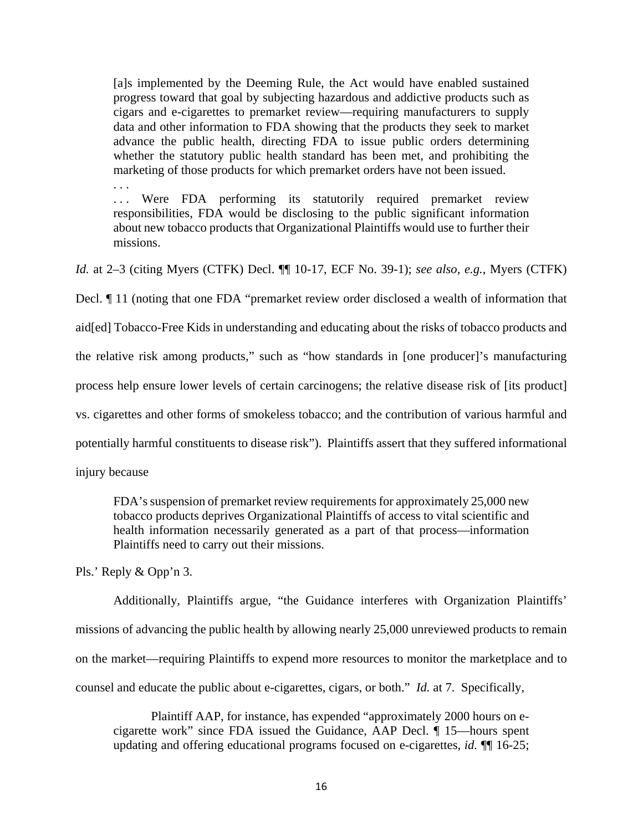[a]s implemented by the Deeming Rule, the Act would have enabled sustained progress toward that goal by subjecting hazardous and addictive products such as cigars and e-cigarettes to premarket review—requiring manufacturers to supply data and other information to FDA showing that the products they seek to market advance the public health, directing FDA to issue public orders determining whether the statutory public health standard has been met, and prohibiting the marketing of those products for which premarket orders have not been issued.

... Were FDA performing its statutorily required premarket review responsibilities, FDA would be disclosing to the public significant information about new tobacco products that Organizational Plaintiffs would use to further their missions.

*Id.* at 2–3 (citing Myers (CTFK) Decl. ¶¶ 10-17, ECF No. 39-1); *see also, e.g.*, Myers (CTFK)

Decl. ¶ 11 (noting that one FDA "premarket review order disclosed a wealth of information that

aid[ed] Tobacco-Free Kids in understanding and educating about the risks of tobacco products and

the relative risk among products," such as "how standards in [one producer]'s manufacturing

process help ensure lower levels of certain carcinogens; the relative disease risk of [its product]

vs. cigarettes and other forms of smokeless tobacco; and the contribution of various harmful and

potentially harmful constituents to disease risk"). Plaintiffs assert that they suffered informational

injury because

. . .

FDA's suspension of premarket review requirements for approximately 25,000 new tobacco products deprives Organizational Plaintiffs of access to vital scientific and health information necessarily generated as a part of that process—information Plaintiffs need to carry out their missions.

Pls.' Reply & Opp'n 3.

Additionally, Plaintiffs argue, "the Guidance interferes with Organization Plaintiffs' missions of advancing the public health by allowing nearly 25,000 unreviewed products to remain on the market—requiring Plaintiffs to expend more resources to monitor the marketplace and to counsel and educate the public about e-cigarettes, cigars, or both." *Id.* at 7. Specifically,

Plaintiff AAP, for instance, has expended "approximately 2000 hours on ecigarette work" since FDA issued the Guidance, AAP Decl. ¶ 15—hours spent updating and offering educational programs focused on e-cigarettes, *id.* ¶¶ 16-25;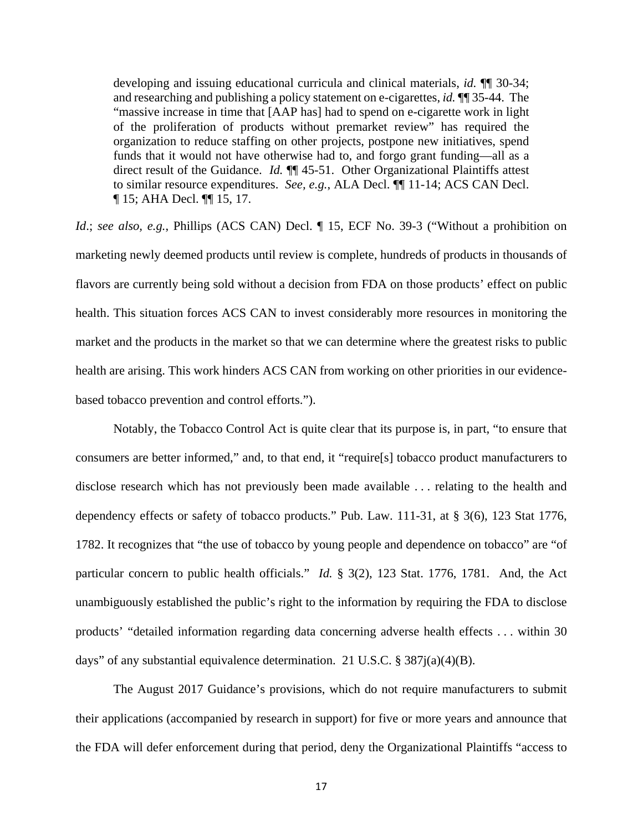developing and issuing educational curricula and clinical materials, *id.* ¶¶ 30-34; and researching and publishing a policy statement on e-cigarettes, *id.* ¶¶ 35-44. The "massive increase in time that [AAP has] had to spend on e-cigarette work in light of the proliferation of products without premarket review" has required the organization to reduce staffing on other projects, postpone new initiatives, spend funds that it would not have otherwise had to, and forgo grant funding—all as a direct result of the Guidance. *Id.* **[1]** 45-51. Other Organizational Plaintiffs attest to similar resource expenditures. *See, e.g.*, ALA Decl. ¶¶ 11-14; ACS CAN Decl. ¶ 15; AHA Decl. ¶¶ 15, 17.

*Id.*; *see also, e.g.*, Phillips (ACS CAN) Decl. 15, ECF No. 39-3 ("Without a prohibition on marketing newly deemed products until review is complete, hundreds of products in thousands of flavors are currently being sold without a decision from FDA on those products' effect on public health. This situation forces ACS CAN to invest considerably more resources in monitoring the market and the products in the market so that we can determine where the greatest risks to public health are arising. This work hinders ACS CAN from working on other priorities in our evidencebased tobacco prevention and control efforts.").

Notably, the Tobacco Control Act is quite clear that its purpose is, in part, "to ensure that consumers are better informed," and, to that end, it "require[s] tobacco product manufacturers to disclose research which has not previously been made available . . . relating to the health and dependency effects or safety of tobacco products." Pub. Law. 111-31, at § 3(6), 123 Stat 1776, 1782. It recognizes that "the use of tobacco by young people and dependence on tobacco" are "of particular concern to public health officials." *Id.* § 3(2), 123 Stat. 1776, 1781. And, the Act unambiguously established the public's right to the information by requiring the FDA to disclose products' "detailed information regarding data concerning adverse health effects . . . within 30 days" of any substantial equivalence determination. 21 U.S.C. § 387j(a)(4)(B).

The August 2017 Guidance's provisions, which do not require manufacturers to submit their applications (accompanied by research in support) for five or more years and announce that the FDA will defer enforcement during that period, deny the Organizational Plaintiffs "access to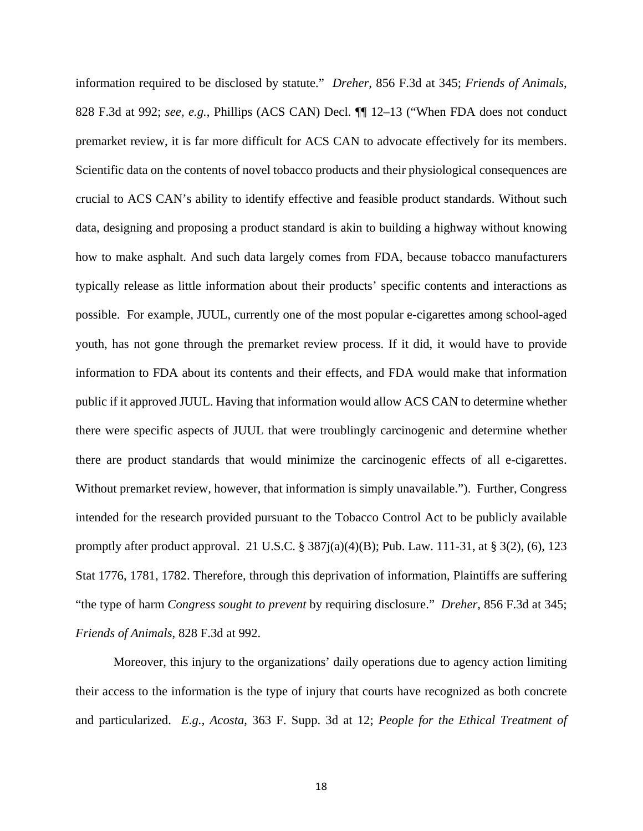information required to be disclosed by statute." *Dreher*, 856 F.3d at 345; *Friends of Animals*, 828 F.3d at 992; *see, e.g.*, Phillips (ACS CAN) Decl. ¶¶ 12–13 ("When FDA does not conduct premarket review, it is far more difficult for ACS CAN to advocate effectively for its members. Scientific data on the contents of novel tobacco products and their physiological consequences are crucial to ACS CAN's ability to identify effective and feasible product standards. Without such data, designing and proposing a product standard is akin to building a highway without knowing how to make asphalt. And such data largely comes from FDA, because tobacco manufacturers typically release as little information about their products' specific contents and interactions as possible. For example, JUUL, currently one of the most popular e-cigarettes among school-aged youth, has not gone through the premarket review process. If it did, it would have to provide information to FDA about its contents and their effects, and FDA would make that information public if it approved JUUL. Having that information would allow ACS CAN to determine whether there were specific aspects of JUUL that were troublingly carcinogenic and determine whether there are product standards that would minimize the carcinogenic effects of all e-cigarettes. Without premarket review, however, that information is simply unavailable."). Further, Congress intended for the research provided pursuant to the Tobacco Control Act to be publicly available promptly after product approval. 21 U.S.C. § 387j(a)(4)(B); Pub. Law. 111-31, at § 3(2), (6), 123 Stat 1776, 1781, 1782. Therefore, through this deprivation of information, Plaintiffs are suffering "the type of harm *Congress sought to prevent* by requiring disclosure." *Dreher*, 856 F.3d at 345; *Friends of Animals*, 828 F.3d at 992.

Moreover, this injury to the organizations' daily operations due to agency action limiting their access to the information is the type of injury that courts have recognized as both concrete and particularized. *E.g.*, *Acosta*, 363 F. Supp. 3d at 12; *People for the Ethical Treatment of*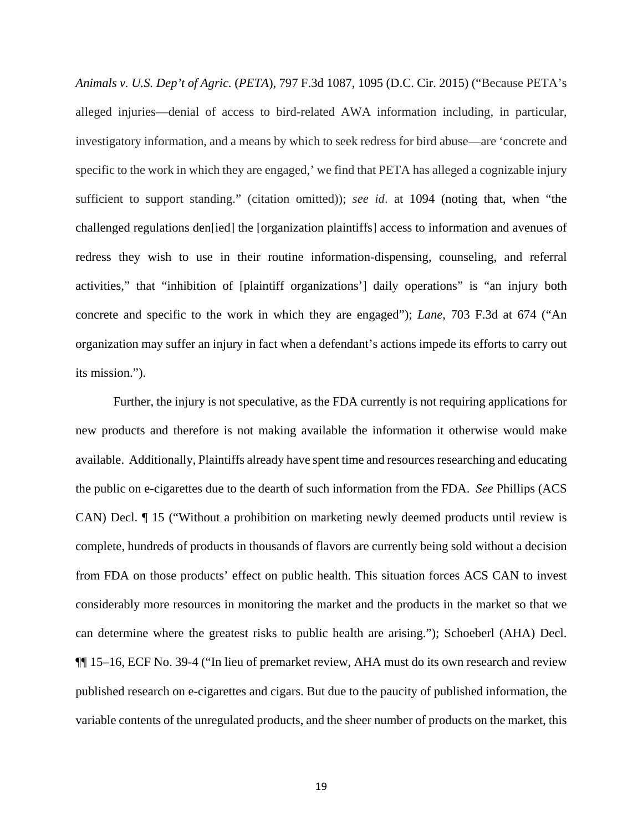*Animals v. U.S. Dep't of Agric.* (*PETA*), 797 F.3d 1087, 1095 (D.C. Cir. 2015) ("Because PETA's alleged injuries—denial of access to bird-related AWA information including, in particular, investigatory information, and a means by which to seek redress for bird abuse—are 'concrete and specific to the work in which they are engaged,' we find that PETA has alleged a cognizable injury sufficient to support standing." (citation omitted)); *see id*. at 1094 (noting that, when "the challenged regulations den[ied] the [organization plaintiffs] access to information and avenues of redress they wish to use in their routine information-dispensing, counseling, and referral activities," that "inhibition of [plaintiff organizations'] daily operations" is "an injury both concrete and specific to the work in which they are engaged"); *Lane*, 703 F.3d at 674 ("An organization may suffer an injury in fact when a defendant's actions impede its efforts to carry out its mission.").

Further, the injury is not speculative, as the FDA currently is not requiring applications for new products and therefore is not making available the information it otherwise would make available. Additionally, Plaintiffs already have spent time and resources researching and educating the public on e-cigarettes due to the dearth of such information from the FDA. *See* Phillips (ACS CAN) Decl. ¶ 15 ("Without a prohibition on marketing newly deemed products until review is complete, hundreds of products in thousands of flavors are currently being sold without a decision from FDA on those products' effect on public health. This situation forces ACS CAN to invest considerably more resources in monitoring the market and the products in the market so that we can determine where the greatest risks to public health are arising."); Schoeberl (AHA) Decl. ¶¶ 15–16, ECF No. 39-4 ("In lieu of premarket review, AHA must do its own research and review published research on e-cigarettes and cigars. But due to the paucity of published information, the variable contents of the unregulated products, and the sheer number of products on the market, this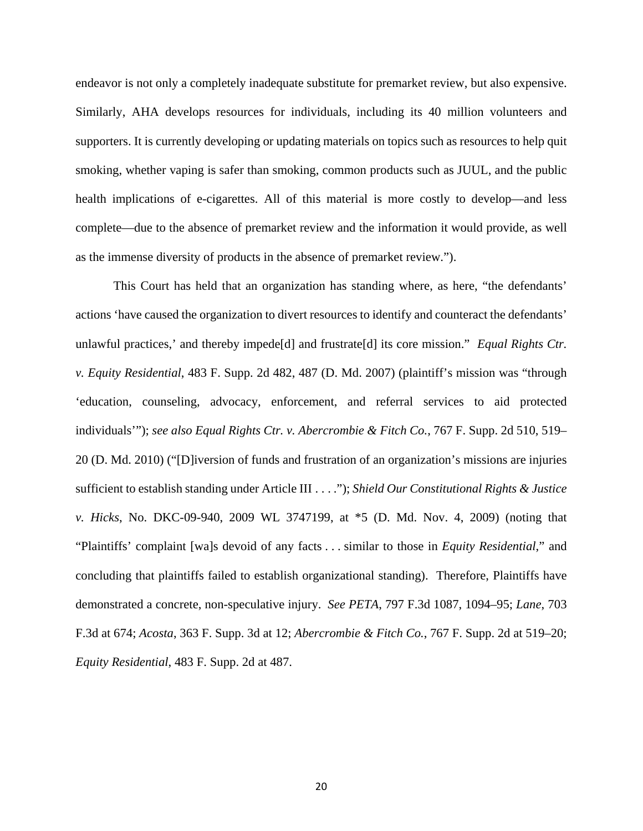endeavor is not only a completely inadequate substitute for premarket review, but also expensive. Similarly, AHA develops resources for individuals, including its 40 million volunteers and supporters. It is currently developing or updating materials on topics such as resources to help quit smoking, whether vaping is safer than smoking, common products such as JUUL, and the public health implications of e-cigarettes. All of this material is more costly to develop—and less complete—due to the absence of premarket review and the information it would provide, as well as the immense diversity of products in the absence of premarket review.").

This Court has held that an organization has standing where, as here, "the defendants' actions 'have caused the organization to divert resources to identify and counteract the defendants' unlawful practices,' and thereby impede[d] and frustrate[d] its core mission." *Equal Rights Ctr. v. Equity Residential*, 483 F. Supp. 2d 482, 487 (D. Md. 2007) (plaintiff's mission was "through 'education, counseling, advocacy, enforcement, and referral services to aid protected individuals'"); *see also Equal Rights Ctr. v. Abercrombie & Fitch Co.*, 767 F. Supp. 2d 510, 519– 20 (D. Md. 2010) ("[D]iversion of funds and frustration of an organization's missions are injuries sufficient to establish standing under Article III . . . ."); *Shield Our Constitutional Rights & Justice v. Hicks*, No. DKC-09-940, 2009 WL 3747199, at \*5 (D. Md. Nov. 4, 2009) (noting that "Plaintiffs' complaint [wa]s devoid of any facts . . . similar to those in *Equity Residential*," and concluding that plaintiffs failed to establish organizational standing). Therefore, Plaintiffs have demonstrated a concrete, non-speculative injury. *See PETA*, 797 F.3d 1087, 1094–95; *Lane*, 703 F.3d at 674; *Acosta*, 363 F. Supp. 3d at 12; *Abercrombie & Fitch Co.*, 767 F. Supp. 2d at 519–20; *Equity Residential*, 483 F. Supp. 2d at 487.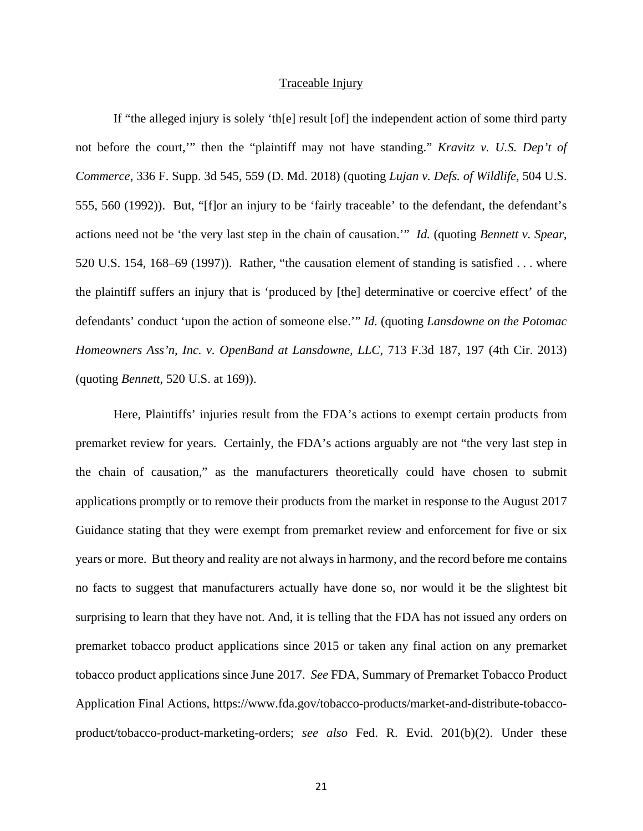### Traceable Injury

If "the alleged injury is solely 'th[e] result [of] the independent action of some third party not before the court,'" then the "plaintiff may not have standing." *Kravitz v. U.S. Dep't of Commerce*, 336 F. Supp. 3d 545, 559 (D. Md. 2018) (quoting *Lujan v. Defs. of Wildlife*, 504 U.S. 555, 560 (1992)). But, "[f]or an injury to be 'fairly traceable' to the defendant, the defendant's actions need not be 'the very last step in the chain of causation.'" *Id.* (quoting *Bennett v. Spear*, 520 U.S. 154, 168–69 (1997)). Rather, "the causation element of standing is satisfied . . . where the plaintiff suffers an injury that is 'produced by [the] determinative or coercive effect' of the defendants' conduct 'upon the action of someone else.'" *Id.* (quoting *Lansdowne on the Potomac Homeowners Ass'n, Inc. v. OpenBand at Lansdowne, LLC*, 713 F.3d 187, 197 (4th Cir. 2013) (quoting *Bennett*, 520 U.S. at 169)).

Here, Plaintiffs' injuries result from the FDA's actions to exempt certain products from premarket review for years. Certainly, the FDA's actions arguably are not "the very last step in the chain of causation," as the manufacturers theoretically could have chosen to submit applications promptly or to remove their products from the market in response to the August 2017 Guidance stating that they were exempt from premarket review and enforcement for five or six years or more. But theory and reality are not always in harmony, and the record before me contains no facts to suggest that manufacturers actually have done so, nor would it be the slightest bit surprising to learn that they have not. And, it is telling that the FDA has not issued any orders on premarket tobacco product applications since 2015 or taken any final action on any premarket tobacco product applications since June 2017. *See* FDA, Summary of Premarket Tobacco Product Application Final Actions, https://www.fda.gov/tobacco-products/market-and-distribute-tobaccoproduct/tobacco-product-marketing-orders; *see also* Fed. R. Evid. 201(b)(2). Under these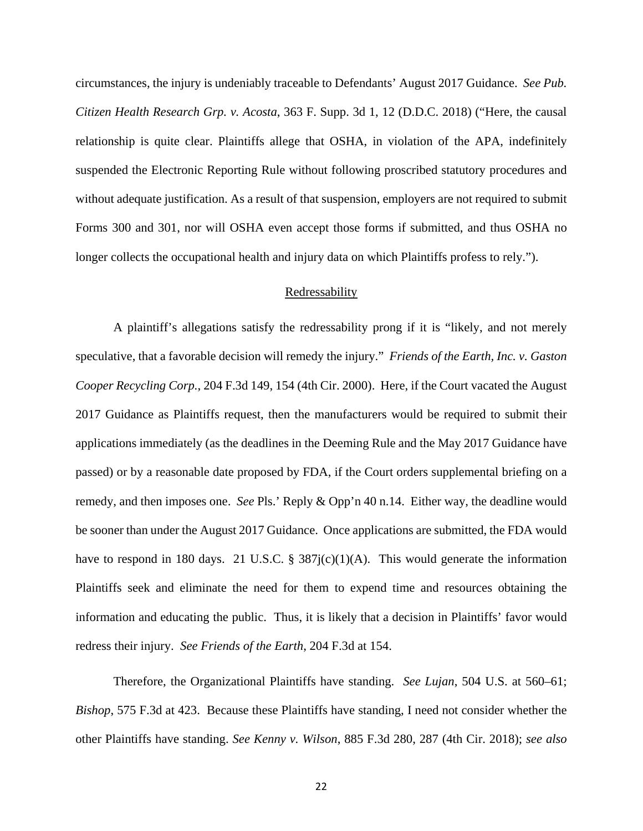circumstances, the injury is undeniably traceable to Defendants' August 2017 Guidance. *See Pub. Citizen Health Research Grp. v. Acosta*, 363 F. Supp. 3d 1, 12 (D.D.C. 2018) ("Here, the causal relationship is quite clear. Plaintiffs allege that OSHA, in violation of the APA, indefinitely suspended the Electronic Reporting Rule without following proscribed statutory procedures and without adequate justification. As a result of that suspension, employers are not required to submit Forms 300 and 301, nor will OSHA even accept those forms if submitted, and thus OSHA no longer collects the occupational health and injury data on which Plaintiffs profess to rely.").

## Redressability

A plaintiff's allegations satisfy the redressability prong if it is "likely, and not merely speculative, that a favorable decision will remedy the injury." *Friends of the Earth, Inc. v. Gaston Cooper Recycling Corp.*, 204 F.3d 149, 154 (4th Cir. 2000). Here, if the Court vacated the August 2017 Guidance as Plaintiffs request, then the manufacturers would be required to submit their applications immediately (as the deadlines in the Deeming Rule and the May 2017 Guidance have passed) or by a reasonable date proposed by FDA, if the Court orders supplemental briefing on a remedy, and then imposes one. *See* Pls.' Reply & Opp'n 40 n.14. Either way, the deadline would be sooner than under the August 2017 Guidance. Once applications are submitted, the FDA would have to respond in 180 days. 21 U.S.C. § 387j(c)(1)(A). This would generate the information Plaintiffs seek and eliminate the need for them to expend time and resources obtaining the information and educating the public. Thus, it is likely that a decision in Plaintiffs' favor would redress their injury. *See Friends of the Earth*, 204 F.3d at 154.

Therefore, the Organizational Plaintiffs have standing. *See Lujan*, 504 U.S. at 560–61; *Bishop*, 575 F.3d at 423. Because these Plaintiffs have standing, I need not consider whether the other Plaintiffs have standing. *See Kenny v. Wilson*, 885 F.3d 280, 287 (4th Cir. 2018); *see also*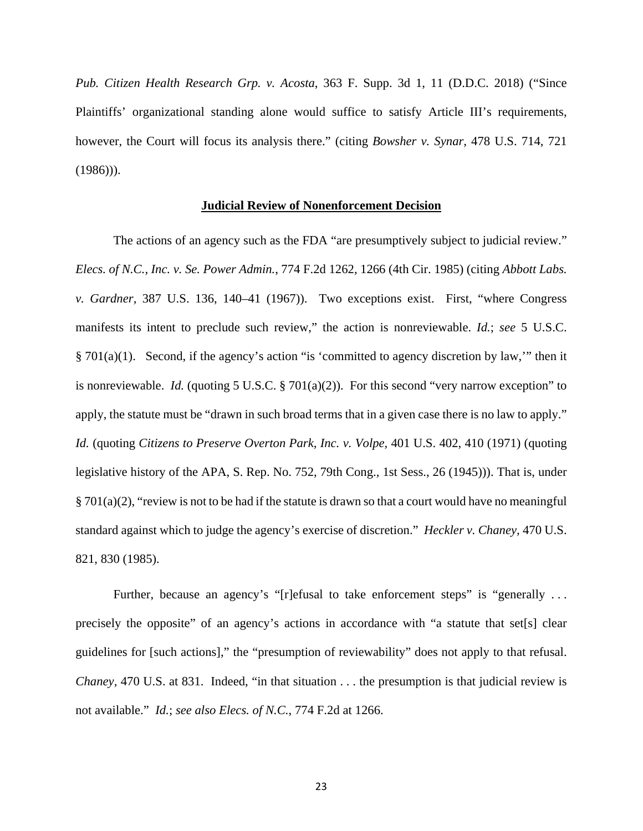*Pub. Citizen Health Research Grp. v. Acosta*, 363 F. Supp. 3d 1, 11 (D.D.C. 2018) ("Since Plaintiffs' organizational standing alone would suffice to satisfy Article III's requirements, however, the Court will focus its analysis there." (citing *Bowsher v. Synar*, 478 U.S. 714, 721  $(1986)$ ).

#### **Judicial Review of Nonenforcement Decision**

The actions of an agency such as the FDA "are presumptively subject to judicial review." *Elecs. of N.C., Inc. v. Se. Power Admin.*, 774 F.2d 1262, 1266 (4th Cir. 1985) (citing *Abbott Labs. v. Gardner,* 387 U.S. 136, 140–41 (1967)). Two exceptions exist. First, "where Congress manifests its intent to preclude such review," the action is nonreviewable. *Id.*; *see* 5 U.S.C. § 701(a)(1). Second, if the agency's action "is 'committed to agency discretion by law,'" then it is nonreviewable. *Id.* (quoting 5 U.S.C. § 701(a)(2)). For this second "very narrow exception" to apply, the statute must be "drawn in such broad terms that in a given case there is no law to apply." *Id.* (quoting *Citizens to Preserve Overton Park, Inc. v. Volpe,* 401 U.S. 402, 410 (1971) (quoting legislative history of the APA, S. Rep. No. 752, 79th Cong., 1st Sess., 26 (1945))). That is, under § 701(a)(2), "review is not to be had if the statute is drawn so that a court would have no meaningful standard against which to judge the agency's exercise of discretion." *Heckler v. Chaney,* 470 U.S. 821, 830 (1985).

Further, because an agency's "[r]efusal to take enforcement steps" is "generally ... precisely the opposite" of an agency's actions in accordance with "a statute that set[s] clear guidelines for [such actions]," the "presumption of reviewability" does not apply to that refusal. *Chaney,* 470 U.S. at 831. Indeed, "in that situation . . . the presumption is that judicial review is not available." *Id.*; *see also Elecs. of N.C.*, 774 F.2d at 1266.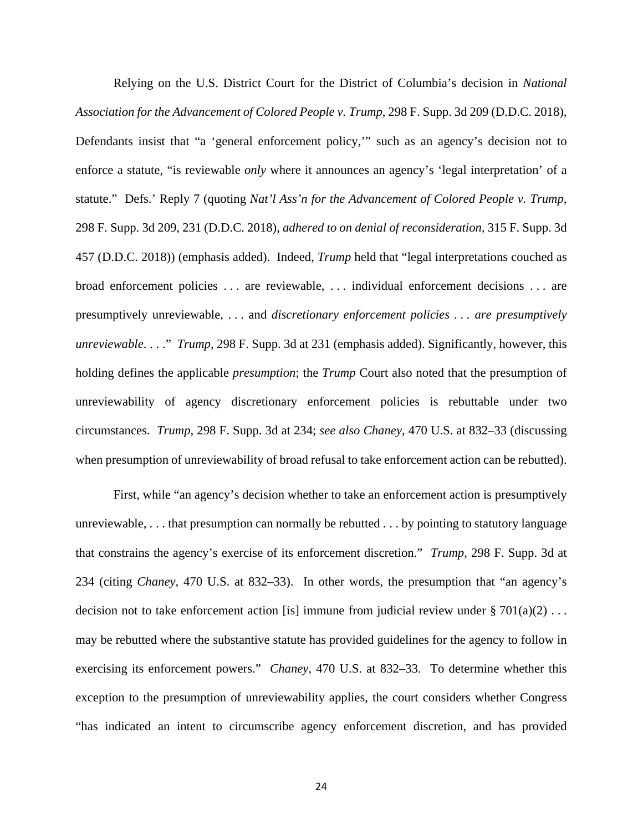Relying on the U.S. District Court for the District of Columbia's decision in *National Association for the Advancement of Colored People v. Trump*, 298 F. Supp. 3d 209 (D.D.C. 2018), Defendants insist that "a 'general enforcement policy,'" such as an agency's decision not to enforce a statute, "is reviewable *only* where it announces an agency's 'legal interpretation' of a statute." Defs.' Reply 7 (quoting *Nat'l Ass'n for the Advancement of Colored People v. Trump*, 298 F. Supp. 3d 209, 231 (D.D.C. 2018), *adhered to on denial of reconsideration,* 315 F. Supp. 3d 457 (D.D.C. 2018)) (emphasis added). Indeed, *Trump* held that "legal interpretations couched as broad enforcement policies . . . are reviewable, . . . individual enforcement decisions . . . are presumptively unreviewable, . . . and *discretionary enforcement policies . . . are presumptively unreviewable*. . . ." *Trump*, 298 F. Supp. 3d at 231 (emphasis added). Significantly, however, this holding defines the applicable *presumption*; the *Trump* Court also noted that the presumption of unreviewability of agency discretionary enforcement policies is rebuttable under two circumstances. *Trump*, 298 F. Supp. 3d at 234; *see also Chaney*, 470 U.S. at 832–33 (discussing when presumption of unreviewability of broad refusal to take enforcement action can be rebutted).

First, while "an agency's decision whether to take an enforcement action is presumptively unreviewable, . . . that presumption can normally be rebutted . . . by pointing to statutory language that constrains the agency's exercise of its enforcement discretion." *Trump*, 298 F. Supp. 3d at 234 (citing *Chaney*, 470 U.S. at 832–33). In other words, the presumption that "an agency's decision not to take enforcement action [is] immune from judicial review under  $\S 701(a)(2) \ldots$ may be rebutted where the substantive statute has provided guidelines for the agency to follow in exercising its enforcement powers." *Chaney*, 470 U.S. at 832–33. To determine whether this exception to the presumption of unreviewability applies, the court considers whether Congress "has indicated an intent to circumscribe agency enforcement discretion, and has provided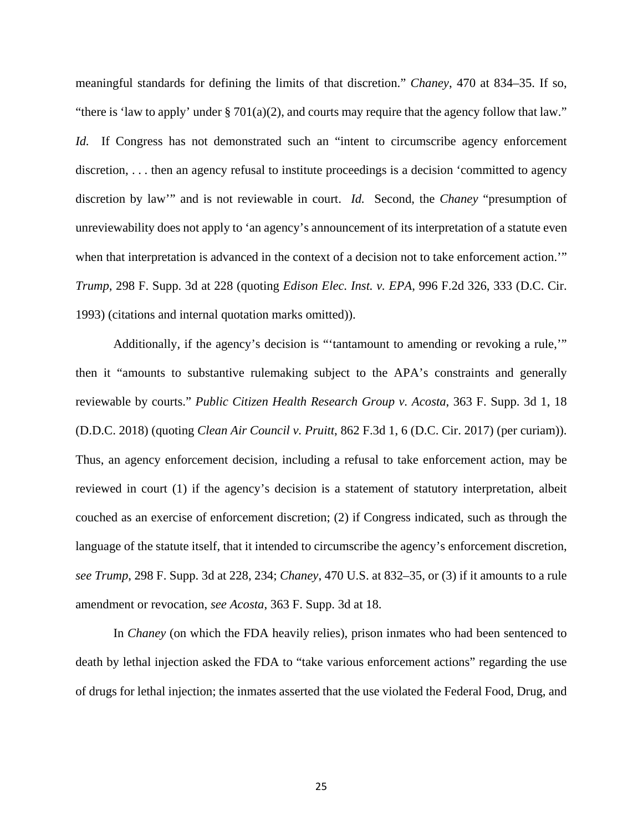meaningful standards for defining the limits of that discretion." *Chaney*, 470 at 834–35. If so, "there is 'law to apply' under  $\S 701(a)(2)$ , and courts may require that the agency follow that law." *Id.* If Congress has not demonstrated such an "intent to circumscribe agency enforcement discretion, . . . then an agency refusal to institute proceedings is a decision 'committed to agency discretion by law'" and is not reviewable in court. *Id.* Second, the *Chaney* "presumption of unreviewability does not apply to 'an agency's announcement of its interpretation of a statute even when that interpretation is advanced in the context of a decision not to take enforcement action." *Trump*, 298 F. Supp. 3d at 228 (quoting *Edison Elec. Inst. v. EPA*, 996 F.2d 326, 333 (D.C. Cir. 1993) (citations and internal quotation marks omitted)).

Additionally, if the agency's decision is "'tantamount to amending or revoking a rule,'" then it "amounts to substantive rulemaking subject to the APA's constraints and generally reviewable by courts." *Public Citizen Health Research Group v. Acosta*, 363 F. Supp. 3d 1, 18 (D.D.C. 2018) (quoting *Clean Air Council v. Pruitt*, 862 F.3d 1, 6 (D.C. Cir. 2017) (per curiam)). Thus, an agency enforcement decision, including a refusal to take enforcement action, may be reviewed in court (1) if the agency's decision is a statement of statutory interpretation, albeit couched as an exercise of enforcement discretion; (2) if Congress indicated, such as through the language of the statute itself, that it intended to circumscribe the agency's enforcement discretion, *see Trump*, 298 F. Supp. 3d at 228, 234; *Chaney*, 470 U.S. at 832–35, or (3) if it amounts to a rule amendment or revocation, *see Acosta*, 363 F. Supp. 3d at 18.

In *Chaney* (on which the FDA heavily relies), prison inmates who had been sentenced to death by lethal injection asked the FDA to "take various enforcement actions" regarding the use of drugs for lethal injection; the inmates asserted that the use violated the Federal Food, Drug, and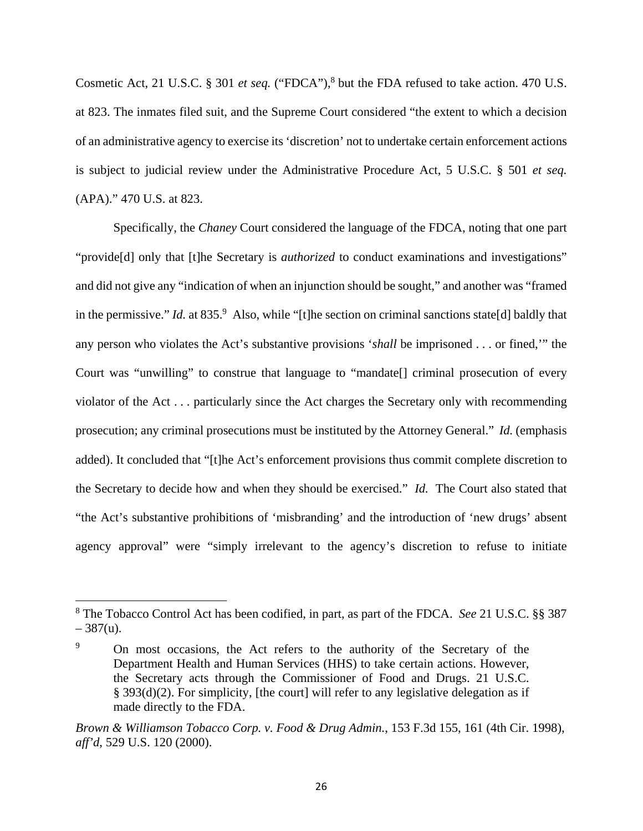Cosmetic Act, 21 U.S.C. § 301 *et seq.* ("FDCA"),<sup>8</sup> but the FDA refused to take action. 470 U.S. at 823. The inmates filed suit, and the Supreme Court considered "the extent to which a decision of an administrative agency to exercise its 'discretion' not to undertake certain enforcement actions is subject to judicial review under the Administrative Procedure Act, 5 U.S.C. § 501 *et seq.* (APA)." 470 U.S. at 823.

Specifically, the *Chaney* Court considered the language of the FDCA, noting that one part "provide[d] only that [t]he Secretary is *authorized* to conduct examinations and investigations" and did not give any "indication of when an injunction should be sought," and another was "framed in the permissive." *Id.* at 835.<sup>9</sup> Also, while "[t]he section on criminal sanctions state[d] baldly that any person who violates the Act's substantive provisions '*shall* be imprisoned . . . or fined,'" the Court was "unwilling" to construe that language to "mandate[] criminal prosecution of every violator of the Act . . . particularly since the Act charges the Secretary only with recommending prosecution; any criminal prosecutions must be instituted by the Attorney General." *Id.* (emphasis added). It concluded that "[t]he Act's enforcement provisions thus commit complete discretion to the Secretary to decide how and when they should be exercised." *Id.* The Court also stated that "the Act's substantive prohibitions of 'misbranding' and the introduction of 'new drugs' absent agency approval" were "simply irrelevant to the agency's discretion to refuse to initiate

<u>.</u>

<sup>8</sup> The Tobacco Control Act has been codified, in part, as part of the FDCA. *See* 21 U.S.C. §§ 387  $-387(u)$ .

<sup>9</sup> On most occasions, the Act refers to the authority of the Secretary of the Department Health and Human Services (HHS) to take certain actions. However, the Secretary acts through the Commissioner of Food and Drugs. 21 U.S.C. § 393(d)(2). For simplicity, [the court] will refer to any legislative delegation as if made directly to the FDA.

*Brown & Williamson Tobacco Corp. v. Food & Drug Admin.*, 153 F.3d 155, 161 (4th Cir. 1998), *aff'd*, 529 U.S. 120 (2000).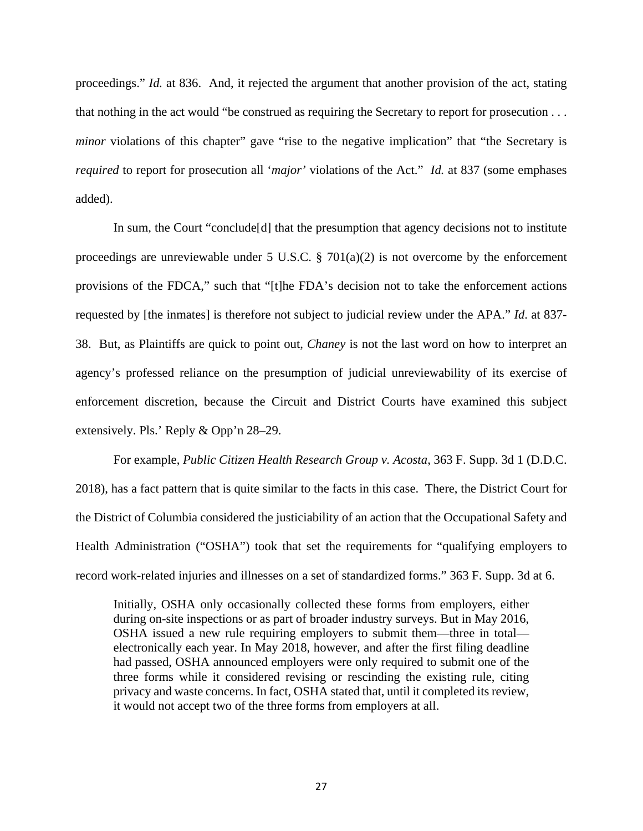proceedings." *Id.* at 836. And, it rejected the argument that another provision of the act, stating that nothing in the act would "be construed as requiring the Secretary to report for prosecution . . . *minor* violations of this chapter" gave "rise to the negative implication" that "the Secretary is *required* to report for prosecution all '*major'* violations of the Act." *Id.* at 837 (some emphases added).

In sum, the Court "conclude[d] that the presumption that agency decisions not to institute proceedings are unreviewable under 5 U.S.C.  $\S$  701(a)(2) is not overcome by the enforcement provisions of the FDCA," such that "[t]he FDA's decision not to take the enforcement actions requested by [the inmates] is therefore not subject to judicial review under the APA." *Id*. at 837- 38. But, as Plaintiffs are quick to point out, *Chaney* is not the last word on how to interpret an agency's professed reliance on the presumption of judicial unreviewability of its exercise of enforcement discretion, because the Circuit and District Courts have examined this subject extensively. Pls.' Reply & Opp'n 28–29.

For example, *Public Citizen Health Research Group v. Acosta*, 363 F. Supp. 3d 1 (D.D.C. 2018), has a fact pattern that is quite similar to the facts in this case. There, the District Court for the District of Columbia considered the justiciability of an action that the Occupational Safety and Health Administration ("OSHA") took that set the requirements for "qualifying employers to record work-related injuries and illnesses on a set of standardized forms." 363 F. Supp. 3d at 6.

Initially, OSHA only occasionally collected these forms from employers, either during on-site inspections or as part of broader industry surveys. But in May 2016, OSHA issued a new rule requiring employers to submit them—three in total electronically each year. In May 2018, however, and after the first filing deadline had passed, OSHA announced employers were only required to submit one of the three forms while it considered revising or rescinding the existing rule, citing privacy and waste concerns. In fact, OSHA stated that, until it completed its review, it would not accept two of the three forms from employers at all.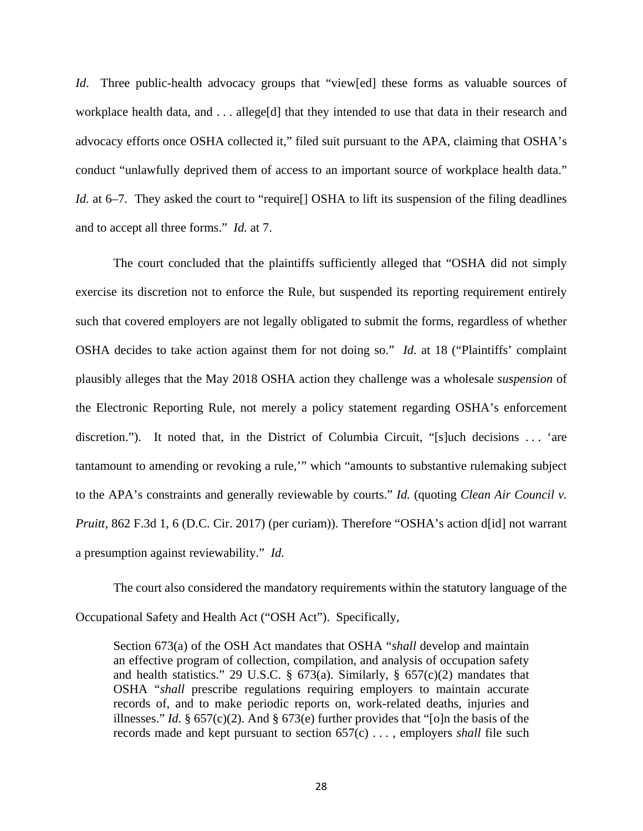*Id*. Three public-health advocacy groups that "view[ed] these forms as valuable sources of workplace health data, and . . . allege[d] that they intended to use that data in their research and advocacy efforts once OSHA collected it," filed suit pursuant to the APA, claiming that OSHA's conduct "unlawfully deprived them of access to an important source of workplace health data." *Id.* at 6–7. They asked the court to "require<sup>[]</sup> OSHA to lift its suspension of the filing deadlines and to accept all three forms." *Id.* at 7.

The court concluded that the plaintiffs sufficiently alleged that "OSHA did not simply exercise its discretion not to enforce the Rule, but suspended its reporting requirement entirely such that covered employers are not legally obligated to submit the forms, regardless of whether OSHA decides to take action against them for not doing so." *Id.* at 18 ("Plaintiffs' complaint plausibly alleges that the May 2018 OSHA action they challenge was a wholesale *suspension* of the Electronic Reporting Rule, not merely a policy statement regarding OSHA's enforcement discretion."). It noted that, in the District of Columbia Circuit, "[s]uch decisions . . . 'are tantamount to amending or revoking a rule,'" which "amounts to substantive rulemaking subject to the APA's constraints and generally reviewable by courts." *Id.* (quoting *Clean Air Council v. Pruitt*, 862 F.3d 1, 6 (D.C. Cir. 2017) (per curiam)). Therefore "OSHA's action d[id] not warrant a presumption against reviewability." *Id.*

The court also considered the mandatory requirements within the statutory language of the Occupational Safety and Health Act ("OSH Act"). Specifically,

Section 673(a) of the OSH Act mandates that OSHA "*shall* develop and maintain an effective program of collection, compilation, and analysis of occupation safety and health statistics." 29 U.S.C. § 673(a). Similarly, § 657(c)(2) mandates that OSHA "*shall* prescribe regulations requiring employers to maintain accurate records of, and to make periodic reports on, work-related deaths, injuries and illnesses." *Id.* § 657(c)(2). And § 673(e) further provides that "[o]n the basis of the records made and kept pursuant to section 657(c) . . . , employers *shall* file such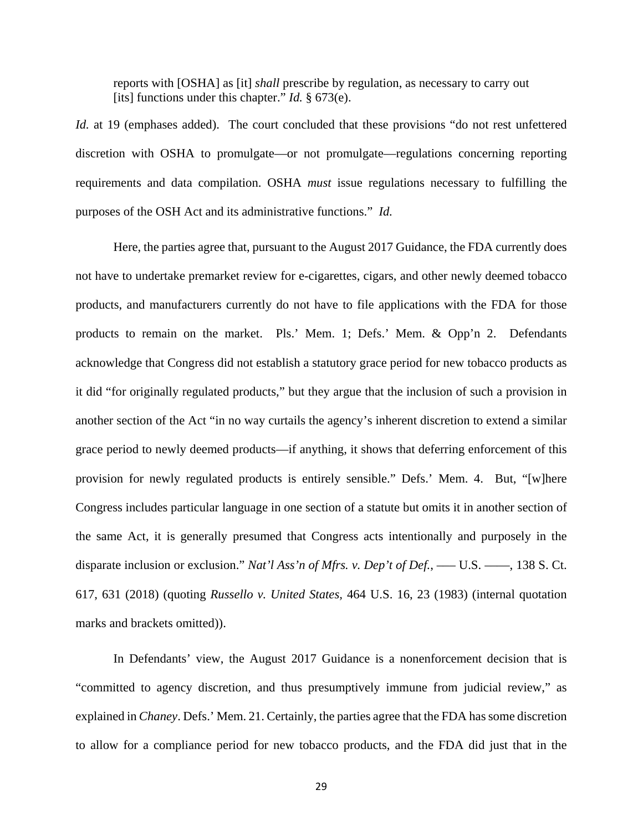reports with [OSHA] as [it] *shall* prescribe by regulation, as necessary to carry out [its] functions under this chapter." *Id.* § 673(e).

*Id.* at 19 (emphases added). The court concluded that these provisions "do not rest unfettered discretion with OSHA to promulgate—or not promulgate—regulations concerning reporting requirements and data compilation. OSHA *must* issue regulations necessary to fulfilling the purposes of the OSH Act and its administrative functions." *Id.* 

Here, the parties agree that, pursuant to the August 2017 Guidance, the FDA currently does not have to undertake premarket review for e-cigarettes, cigars, and other newly deemed tobacco products, and manufacturers currently do not have to file applications with the FDA for those products to remain on the market. Pls.' Mem. 1; Defs.' Mem. & Opp'n 2. Defendants acknowledge that Congress did not establish a statutory grace period for new tobacco products as it did "for originally regulated products," but they argue that the inclusion of such a provision in another section of the Act "in no way curtails the agency's inherent discretion to extend a similar grace period to newly deemed products—if anything, it shows that deferring enforcement of this provision for newly regulated products is entirely sensible." Defs.' Mem. 4. But, "[w]here Congress includes particular language in one section of a statute but omits it in another section of the same Act, it is generally presumed that Congress acts intentionally and purposely in the disparate inclusion or exclusion." *Nat'l Ass'n of Mfrs. v. Dep't of Def.*, — U.S. — , 138 S. Ct. 617, 631 (2018) (quoting *Russello v. United States,* 464 U.S. 16, 23 (1983) (internal quotation marks and brackets omitted)).

In Defendants' view, the August 2017 Guidance is a nonenforcement decision that is "committed to agency discretion, and thus presumptively immune from judicial review," as explained in *Chaney*. Defs.' Mem. 21. Certainly, the parties agree that the FDA has some discretion to allow for a compliance period for new tobacco products, and the FDA did just that in the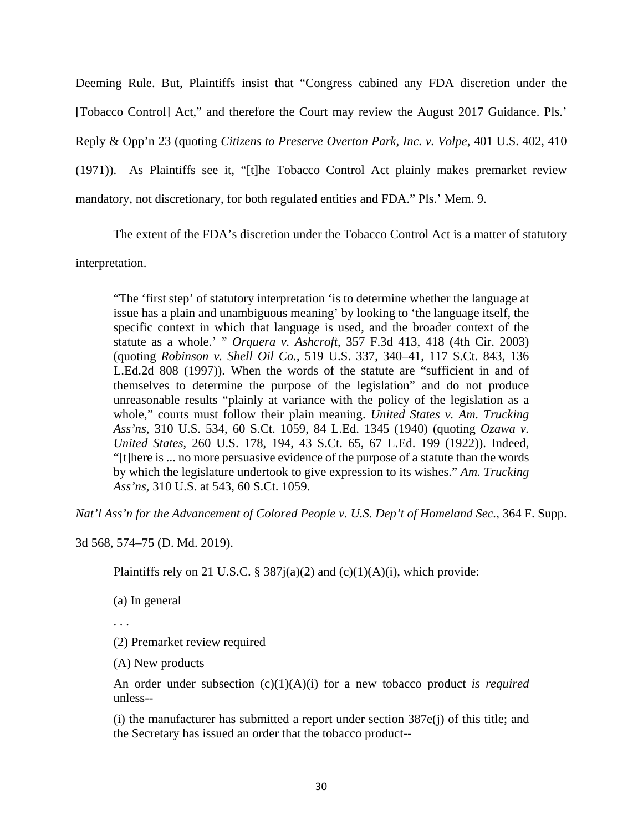Deeming Rule. But, Plaintiffs insist that "Congress cabined any FDA discretion under the [Tobacco Control] Act," and therefore the Court may review the August 2017 Guidance. Pls.' Reply & Opp'n 23 (quoting *Citizens to Preserve Overton Park, Inc. v. Volpe*, 401 U.S. 402, 410 (1971)). As Plaintiffs see it, "[t]he Tobacco Control Act plainly makes premarket review mandatory, not discretionary, for both regulated entities and FDA." Pls.' Mem. 9.

The extent of the FDA's discretion under the Tobacco Control Act is a matter of statutory

interpretation.

"The 'first step' of statutory interpretation 'is to determine whether the language at issue has a plain and unambiguous meaning' by looking to 'the language itself, the specific context in which that language is used, and the broader context of the statute as a whole.' " *Orquera v. Ashcroft*, 357 F.3d 413, 418 (4th Cir. 2003) (quoting *Robinson v. Shell Oil Co.*, 519 U.S. 337, 340–41, 117 S.Ct. 843, 136 L.Ed.2d 808 (1997)). When the words of the statute are "sufficient in and of themselves to determine the purpose of the legislation" and do not produce unreasonable results "plainly at variance with the policy of the legislation as a whole," courts must follow their plain meaning. *United States v. Am. Trucking Ass'ns*, 310 U.S. 534, 60 S.Ct. 1059, 84 L.Ed. 1345 (1940) (quoting *Ozawa v. United States*, 260 U.S. 178, 194, 43 S.Ct. 65, 67 L.Ed. 199 (1922)). Indeed, "[t]here is ... no more persuasive evidence of the purpose of a statute than the words by which the legislature undertook to give expression to its wishes." *Am. Trucking Ass'ns*, 310 U.S. at 543, 60 S.Ct. 1059.

*Nat'l Ass'n for the Advancement of Colored People v. U.S. Dep't of Homeland Sec.*, 364 F. Supp.

3d 568, 574–75 (D. Md. 2019).

Plaintiffs rely on 21 U.S.C. § 387 $j(a)(2)$  and  $(c)(1)(A)(i)$ , which provide:

(a) In general

. . .

(2) Premarket review required

(A) New products

An order under subsection (c)(1)(A)(i) for a new tobacco product *is required* unless--

(i) the manufacturer has submitted a report under section 387e(j) of this title; and the Secretary has issued an order that the tobacco product--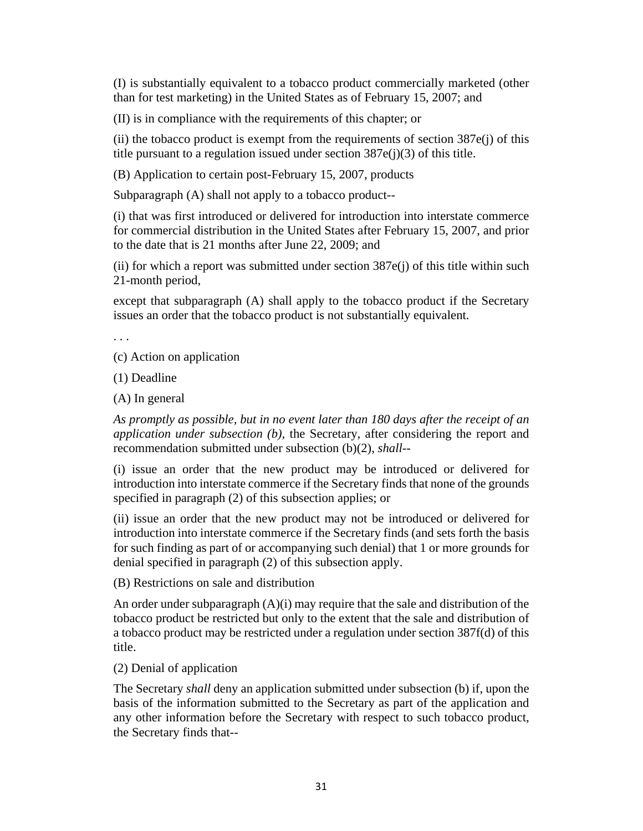(I) is substantially equivalent to a tobacco product commercially marketed (other than for test marketing) in the United States as of February 15, 2007; and

(II) is in compliance with the requirements of this chapter; or

 $(iii)$  the tobacco product is exempt from the requirements of section  $387e(i)$  of this title pursuant to a regulation issued under section  $387e(j)(3)$  of this title.

(B) Application to certain post-February 15, 2007, products

Subparagraph (A) shall not apply to a tobacco product--

(i) that was first introduced or delivered for introduction into interstate commerce for commercial distribution in the United States after February 15, 2007, and prior to the date that is 21 months after June 22, 2009; and

(ii) for which a report was submitted under section  $387e(i)$  of this title within such 21-month period,

except that subparagraph (A) shall apply to the tobacco product if the Secretary issues an order that the tobacco product is not substantially equivalent.

. . .

(c) Action on application

(1) Deadline

(A) In general

*As promptly as possible, but in no event later than 180 days after the receipt of an application under subsection (b),* the Secretary, after considering the report and recommendation submitted under subsection (b)(2), *shall*--

(i) issue an order that the new product may be introduced or delivered for introduction into interstate commerce if the Secretary finds that none of the grounds specified in paragraph (2) of this subsection applies; or

(ii) issue an order that the new product may not be introduced or delivered for introduction into interstate commerce if the Secretary finds (and sets forth the basis for such finding as part of or accompanying such denial) that 1 or more grounds for denial specified in paragraph (2) of this subsection apply.

(B) Restrictions on sale and distribution

An order under subparagraph  $(A)(i)$  may require that the sale and distribution of the tobacco product be restricted but only to the extent that the sale and distribution of a tobacco product may be restricted under a regulation under section 387f(d) of this title.

(2) Denial of application

The Secretary *shall* deny an application submitted under subsection (b) if, upon the basis of the information submitted to the Secretary as part of the application and any other information before the Secretary with respect to such tobacco product, the Secretary finds that--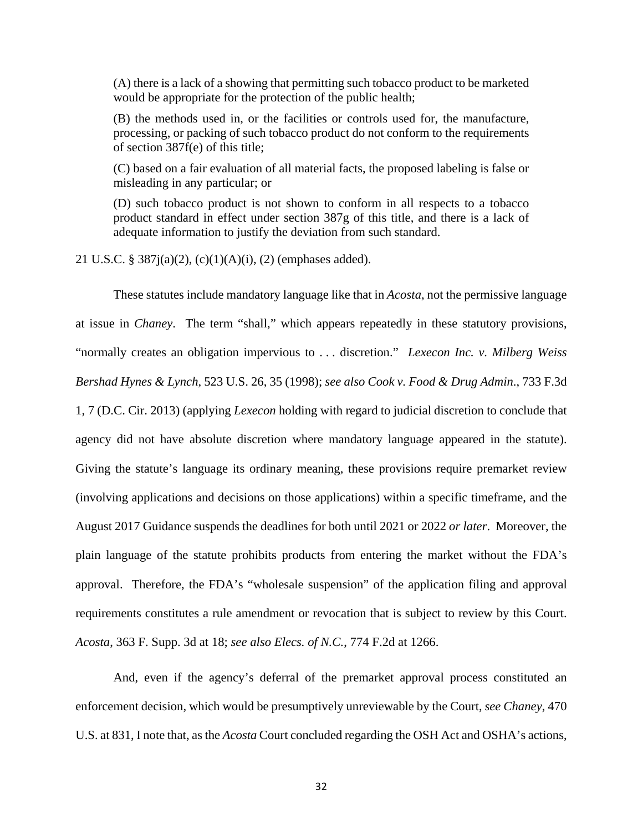(A) there is a lack of a showing that permitting such tobacco product to be marketed would be appropriate for the protection of the public health;

(B) the methods used in, or the facilities or controls used for, the manufacture, processing, or packing of such tobacco product do not conform to the requirements of section 387f(e) of this title;

(C) based on a fair evaluation of all material facts, the proposed labeling is false or misleading in any particular; or

(D) such tobacco product is not shown to conform in all respects to a tobacco product standard in effect under section 387g of this title, and there is a lack of adequate information to justify the deviation from such standard.

21 U.S.C. § 387j(a)(2), (c)(1)(A)(i), (2) (emphases added).

These statutes include mandatory language like that in *Acosta*, not the permissive language at issue in *Chaney*. The term "shall," which appears repeatedly in these statutory provisions, "normally creates an obligation impervious to . . . discretion." *Lexecon Inc. v. Milberg Weiss Bershad Hynes & Lynch*, 523 U.S. 26, 35 (1998); *see also Cook v. Food & Drug Admin*., 733 F.3d 1, 7 (D.C. Cir. 2013) (applying *Lexecon* holding with regard to judicial discretion to conclude that agency did not have absolute discretion where mandatory language appeared in the statute). Giving the statute's language its ordinary meaning, these provisions require premarket review (involving applications and decisions on those applications) within a specific timeframe, and the August 2017 Guidance suspends the deadlines for both until 2021 or 2022 *or later*. Moreover, the plain language of the statute prohibits products from entering the market without the FDA's approval. Therefore, the FDA's "wholesale suspension" of the application filing and approval requirements constitutes a rule amendment or revocation that is subject to review by this Court. *Acosta*, 363 F. Supp. 3d at 18; *see also Elecs. of N.C.*, 774 F.2d at 1266.

And, even if the agency's deferral of the premarket approval process constituted an enforcement decision, which would be presumptively unreviewable by the Court, *see Chaney*, 470 U.S. at 831, I note that, as the *Acosta* Court concluded regarding the OSH Act and OSHA's actions,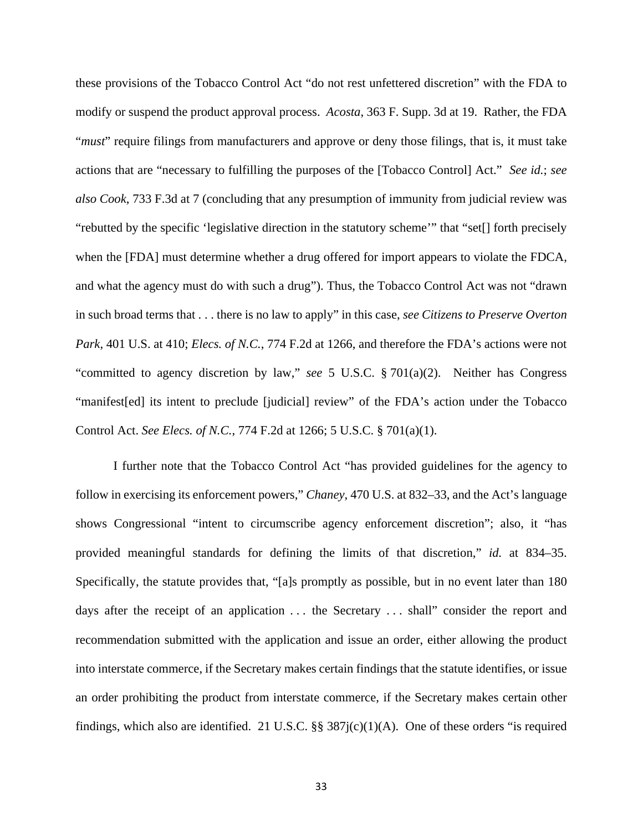these provisions of the Tobacco Control Act "do not rest unfettered discretion" with the FDA to modify or suspend the product approval process. *Acosta*, 363 F. Supp. 3d at 19. Rather, the FDA "*must*" require filings from manufacturers and approve or deny those filings, that is, it must take actions that are "necessary to fulfilling the purposes of the [Tobacco Control] Act." *See id.*; *see also Cook*, 733 F.3d at 7 (concluding that any presumption of immunity from judicial review was "rebutted by the specific 'legislative direction in the statutory scheme'" that "set[] forth precisely when the [FDA] must determine whether a drug offered for import appears to violate the FDCA, and what the agency must do with such a drug"). Thus, the Tobacco Control Act was not "drawn in such broad terms that . . . there is no law to apply" in this case, *see Citizens to Preserve Overton Park*, 401 U.S. at 410; *Elecs. of N.C.*, 774 F.2d at 1266, and therefore the FDA's actions were not "committed to agency discretion by law," *see* 5 U.S.C. § 701(a)(2). Neither has Congress "manifest[ed] its intent to preclude [judicial] review" of the FDA's action under the Tobacco Control Act. *See Elecs. of N.C.*, 774 F.2d at 1266; 5 U.S.C. § 701(a)(1).

I further note that the Tobacco Control Act "has provided guidelines for the agency to follow in exercising its enforcement powers," *Chaney*, 470 U.S. at 832–33, and the Act's language shows Congressional "intent to circumscribe agency enforcement discretion"; also, it "has provided meaningful standards for defining the limits of that discretion," *id.* at 834–35. Specifically, the statute provides that, "[a]s promptly as possible, but in no event later than 180 days after the receipt of an application *. . .* the Secretary . . . shall" consider the report and recommendation submitted with the application and issue an order, either allowing the product into interstate commerce, if the Secretary makes certain findings that the statute identifies, or issue an order prohibiting the product from interstate commerce, if the Secretary makes certain other findings, which also are identified. 21 U.S.C.  $\S$  387j(c)(1)(A). One of these orders "is required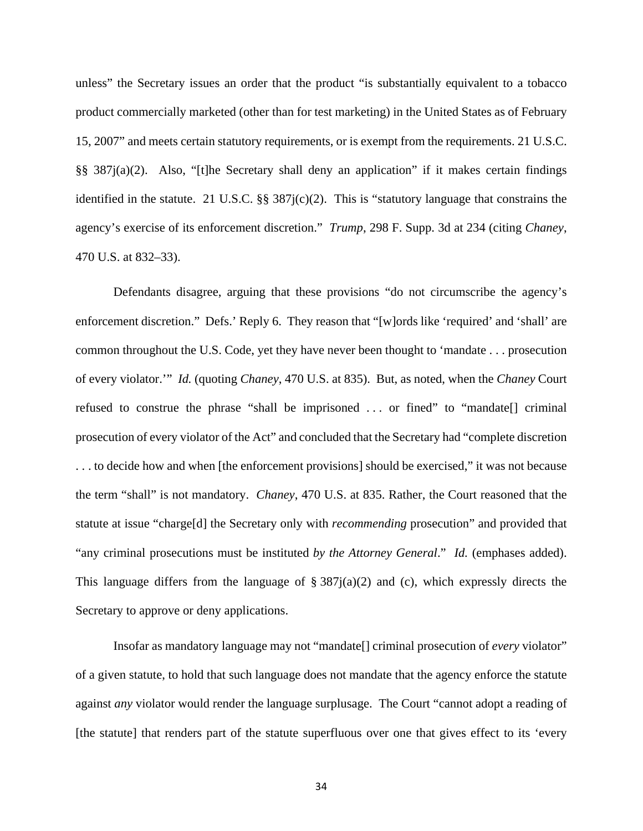unless" the Secretary issues an order that the product "is substantially equivalent to a tobacco product commercially marketed (other than for test marketing) in the United States as of February 15, 2007" and meets certain statutory requirements, or is exempt from the requirements. 21 U.S.C. §§ 387j(a)(2). Also, "[t]he Secretary shall deny an application" if it makes certain findings identified in the statute. 21 U.S.C. §§ 387j(c)(2). This is "statutory language that constrains the agency's exercise of its enforcement discretion." *Trump*, 298 F. Supp. 3d at 234 (citing *Chaney*, 470 U.S. at 832–33).

Defendants disagree, arguing that these provisions "do not circumscribe the agency's enforcement discretion." Defs.' Reply 6. They reason that "[w]ords like 'required' and 'shall' are common throughout the U.S. Code, yet they have never been thought to 'mandate . . . prosecution of every violator.'" *Id.* (quoting *Chaney*, 470 U.S. at 835). But, as noted, when the *Chaney* Court refused to construe the phrase "shall be imprisoned . . . or fined" to "mandate[] criminal prosecution of every violator of the Act" and concluded that the Secretary had "complete discretion . . . to decide how and when [the enforcement provisions] should be exercised," it was not because the term "shall" is not mandatory. *Chaney*, 470 U.S. at 835. Rather, the Court reasoned that the statute at issue "charge[d] the Secretary only with *recommending* prosecution" and provided that "any criminal prosecutions must be instituted *by the Attorney General*." *Id.* (emphases added). This language differs from the language of  $\S 387i(a)(2)$  and (c), which expressly directs the Secretary to approve or deny applications.

Insofar as mandatory language may not "mandate[] criminal prosecution of *every* violator" of a given statute, to hold that such language does not mandate that the agency enforce the statute against *any* violator would render the language surplusage. The Court "cannot adopt a reading of [the statute] that renders part of the statute superfluous over one that gives effect to its 'every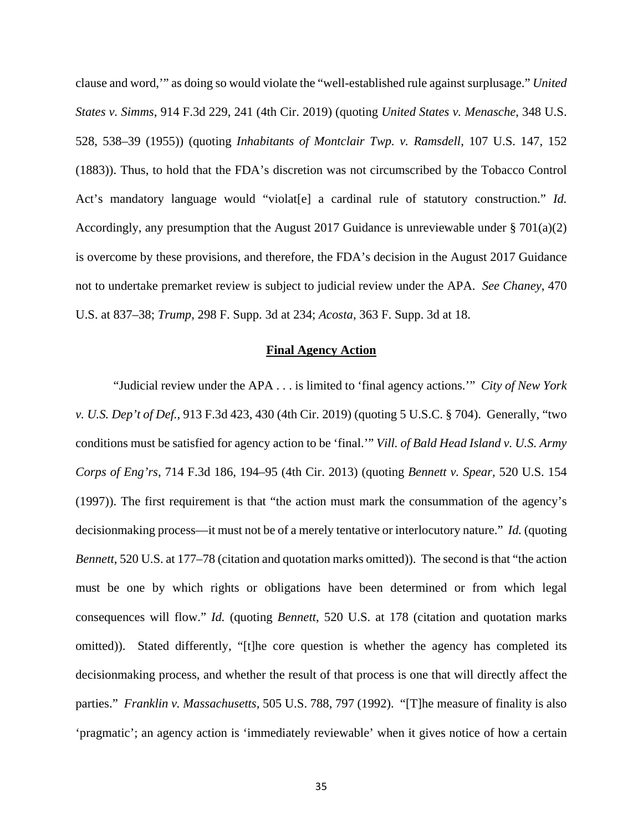clause and word,'" as doing so would violate the "well-established rule against surplusage." *United States v. Simms*, 914 F.3d 229, 241 (4th Cir. 2019) (quoting *United States v. Menasche*, 348 U.S. 528, 538–39 (1955)) (quoting *Inhabitants of Montclair Twp. v. Ramsdell*, 107 U.S. 147, 152 (1883)). Thus, to hold that the FDA's discretion was not circumscribed by the Tobacco Control Act's mandatory language would "violat<sup>[e]</sup> a cardinal rule of statutory construction." *Id.* Accordingly, any presumption that the August 2017 Guidance is unreviewable under § 701(a)(2) is overcome by these provisions, and therefore, the FDA's decision in the August 2017 Guidance not to undertake premarket review is subject to judicial review under the APA. *See Chaney*, 470 U.S. at 837–38; *Trump*, 298 F. Supp. 3d at 234; *Acosta*, 363 F. Supp. 3d at 18.

### **Final Agency Action**

"Judicial review under the APA . . . is limited to 'final agency actions.'" *City of New York v. U.S. Dep't of Def.*, 913 F.3d 423, 430 (4th Cir. 2019) (quoting 5 U.S.C. § 704). Generally, "two conditions must be satisfied for agency action to be 'final.'" *Vill. of Bald Head Island v. U.S. Army Corps of Eng'rs*, 714 F.3d 186, 194–95 (4th Cir. 2013) (quoting *Bennett v. Spear,* 520 U.S. 154 (1997)). The first requirement is that "the action must mark the consummation of the agency's decisionmaking process—it must not be of a merely tentative or interlocutory nature." *Id.* (quoting *Bennett*, 520 U.S. at 177–78 (citation and quotation marks omitted)). The second is that "the action must be one by which rights or obligations have been determined or from which legal consequences will flow." *Id.* (quoting *Bennett*, 520 U.S. at 178 (citation and quotation marks omitted)). Stated differently, "[t]he core question is whether the agency has completed its decisionmaking process, and whether the result of that process is one that will directly affect the parties." *Franklin v. Massachusetts,* 505 U.S. 788, 797 (1992). "[T]he measure of finality is also 'pragmatic'; an agency action is 'immediately reviewable' when it gives notice of how a certain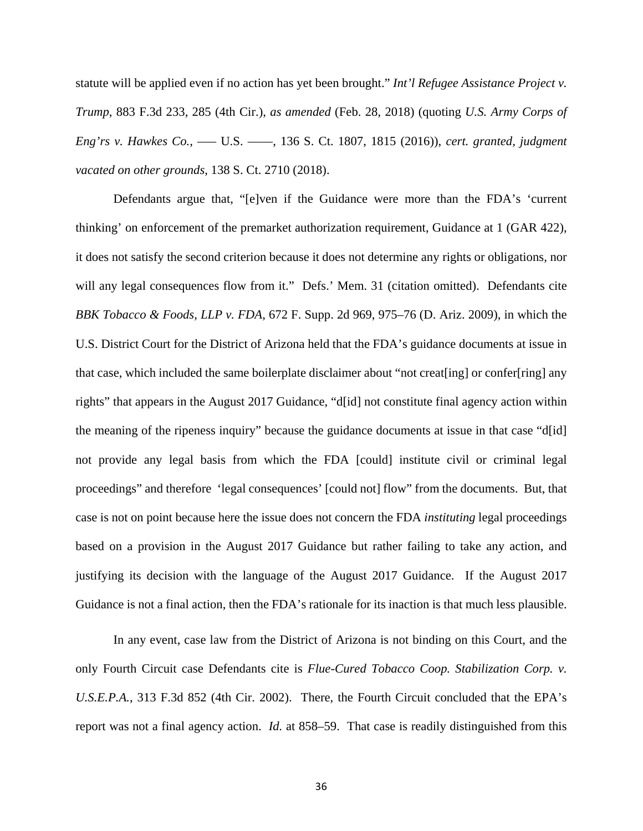statute will be applied even if no action has yet been brought." *Int'l Refugee Assistance Project v. Trump*, 883 F.3d 233, 285 (4th Cir.), *as amended* (Feb. 28, 2018) (quoting *U.S. Army Corps of Eng'rs v. Hawkes Co.*, ––– U.S. ––––, 136 S. Ct. 1807, 1815 (2016)), *cert. granted, judgment vacated on other grounds*, 138 S. Ct. 2710 (2018).

Defendants argue that, "[e]ven if the Guidance were more than the FDA's 'current thinking' on enforcement of the premarket authorization requirement, Guidance at 1 (GAR 422), it does not satisfy the second criterion because it does not determine any rights or obligations, nor will any legal consequences flow from it." Defs.' Mem. 31 (citation omitted). Defendants cite *BBK Tobacco & Foods, LLP v. FDA*, 672 F. Supp. 2d 969, 975–76 (D. Ariz. 2009), in which the U.S. District Court for the District of Arizona held that the FDA's guidance documents at issue in that case, which included the same boilerplate disclaimer about "not creat[ing] or confer[ring] any rights" that appears in the August 2017 Guidance, "d[id] not constitute final agency action within the meaning of the ripeness inquiry" because the guidance documents at issue in that case "d[id] not provide any legal basis from which the FDA [could] institute civil or criminal legal proceedings" and therefore 'legal consequences' [could not] flow" from the documents. But, that case is not on point because here the issue does not concern the FDA *instituting* legal proceedings based on a provision in the August 2017 Guidance but rather failing to take any action, and justifying its decision with the language of the August 2017 Guidance. If the August 2017 Guidance is not a final action, then the FDA's rationale for its inaction is that much less plausible.

In any event, case law from the District of Arizona is not binding on this Court, and the only Fourth Circuit case Defendants cite is *Flue-Cured Tobacco Coop. Stabilization Corp. v. U.S.E.P.A.*, 313 F.3d 852 (4th Cir. 2002). There, the Fourth Circuit concluded that the EPA's report was not a final agency action. *Id.* at 858–59. That case is readily distinguished from this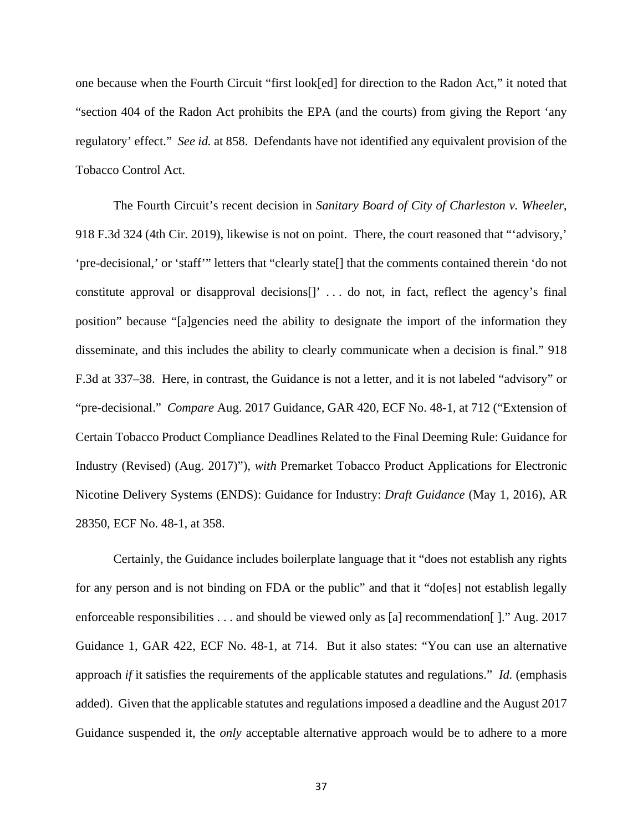one because when the Fourth Circuit "first look[ed] for direction to the Radon Act," it noted that "section 404 of the Radon Act prohibits the EPA (and the courts) from giving the Report 'any regulatory' effect." *See id.* at 858. Defendants have not identified any equivalent provision of the Tobacco Control Act.

The Fourth Circuit's recent decision in *Sanitary Board of City of Charleston v. Wheeler*, 918 F.3d 324 (4th Cir. 2019), likewise is not on point. There, the court reasoned that "'advisory,' 'pre-decisional,' or 'staff'" letters that "clearly state[] that the comments contained therein 'do not constitute approval or disapproval decisions[]' . . . do not, in fact, reflect the agency's final position" because "[a]gencies need the ability to designate the import of the information they disseminate, and this includes the ability to clearly communicate when a decision is final." 918 F.3d at 337–38. Here, in contrast, the Guidance is not a letter, and it is not labeled "advisory" or "pre-decisional." *Compare* Aug. 2017 Guidance, GAR 420, ECF No. 48-1, at 712 ("Extension of Certain Tobacco Product Compliance Deadlines Related to the Final Deeming Rule: Guidance for Industry (Revised) (Aug. 2017)"), *with* Premarket Tobacco Product Applications for Electronic Nicotine Delivery Systems (ENDS): Guidance for Industry: *Draft Guidance* (May 1, 2016), AR 28350, ECF No. 48-1, at 358.

Certainly, the Guidance includes boilerplate language that it "does not establish any rights for any person and is not binding on FDA or the public" and that it "do[es] not establish legally enforceable responsibilities . . . and should be viewed only as [a] recommendation []." Aug. 2017 Guidance 1, GAR 422, ECF No. 48-1, at 714. But it also states: "You can use an alternative approach *if* it satisfies the requirements of the applicable statutes and regulations." *Id.* (emphasis added). Given that the applicable statutes and regulations imposed a deadline and the August 2017 Guidance suspended it, the *only* acceptable alternative approach would be to adhere to a more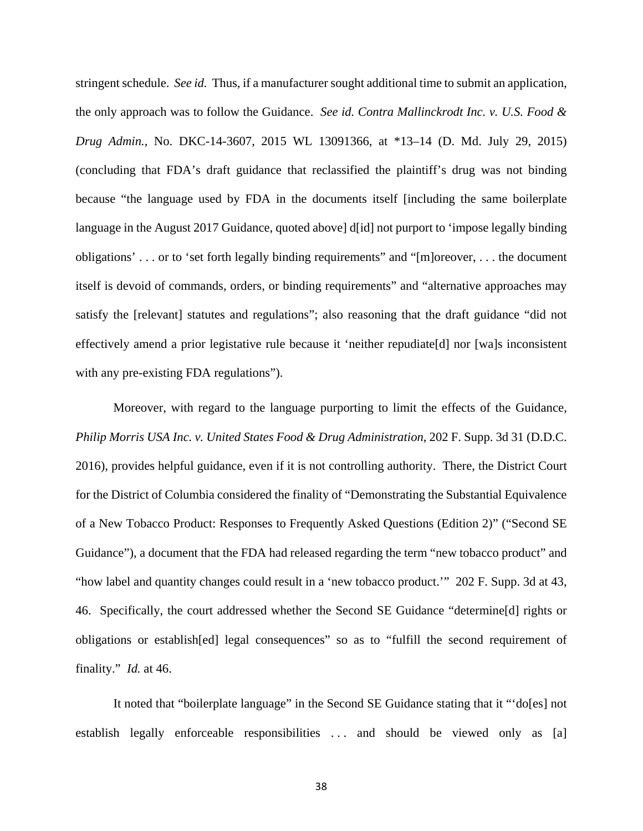stringent schedule. *See id.* Thus, if a manufacturer sought additional time to submit an application, the only approach was to follow the Guidance. *See id. Contra Mallinckrodt Inc. v. U.S. Food & Drug Admin.*, No. DKC-14-3607, 2015 WL 13091366, at \*13–14 (D. Md. July 29, 2015) (concluding that FDA's draft guidance that reclassified the plaintiff's drug was not binding because "the language used by FDA in the documents itself [including the same boilerplate language in the August 2017 Guidance, quoted above] d[id] not purport to 'impose legally binding obligations' . . . or to 'set forth legally binding requirements" and "[m]oreover, . . . the document itself is devoid of commands, orders, or binding requirements" and "alternative approaches may satisfy the [relevant] statutes and regulations"; also reasoning that the draft guidance "did not effectively amend a prior legistative rule because it 'neither repudiate[d] nor [wa]s inconsistent with any pre-existing FDA regulations").

Moreover, with regard to the language purporting to limit the effects of the Guidance, *Philip Morris USA Inc. v. United States Food & Drug Administration*, 202 F. Supp. 3d 31 (D.D.C. 2016), provides helpful guidance, even if it is not controlling authority. There, the District Court for the District of Columbia considered the finality of "Demonstrating the Substantial Equivalence of a New Tobacco Product: Responses to Frequently Asked Questions (Edition 2)" ("Second SE Guidance"), a document that the FDA had released regarding the term "new tobacco product" and "how label and quantity changes could result in a 'new tobacco product.'" 202 F. Supp. 3d at 43, 46. Specifically, the court addressed whether the Second SE Guidance "determine[d] rights or obligations or establish[ed] legal consequences" so as to "fulfill the second requirement of finality." *Id.* at 46.

It noted that "boilerplate language" in the Second SE Guidance stating that it "'do[es] not establish legally enforceable responsibilities ... and should be viewed only as [a]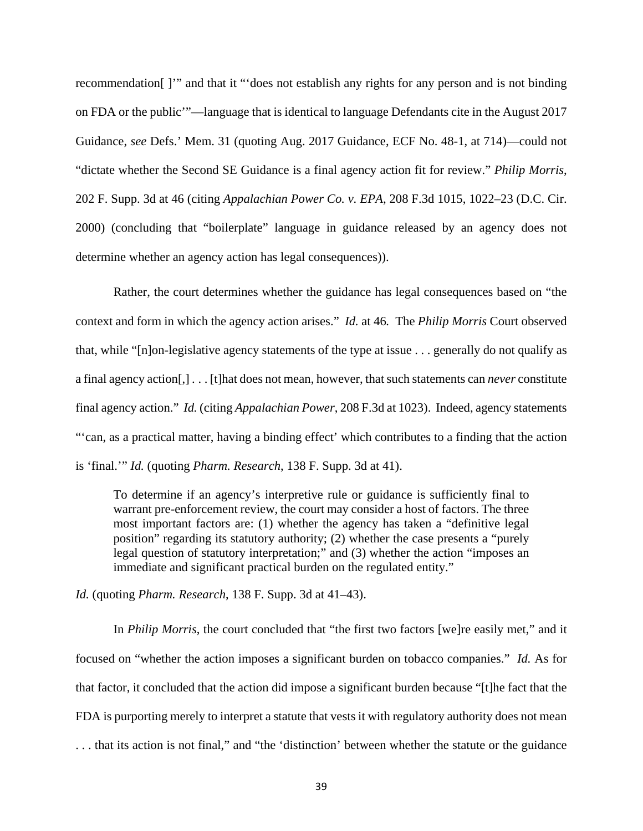recommendation[ ]'" and that it "'does not establish any rights for any person and is not binding on FDA or the public'"—language that is identical to language Defendants cite in the August 2017 Guidance, *see* Defs.' Mem. 31 (quoting Aug. 2017 Guidance, ECF No. 48-1, at 714)—could not "dictate whether the Second SE Guidance is a final agency action fit for review." *Philip Morris*, 202 F. Supp. 3d at 46 (citing *Appalachian Power Co. v. EPA*, 208 F.3d 1015, 1022–23 (D.C. Cir. 2000) (concluding that "boilerplate" language in guidance released by an agency does not determine whether an agency action has legal consequences)).

Rather, the court determines whether the guidance has legal consequences based on "the context and form in which the agency action arises." *Id.* at 46*.* The *Philip Morris* Court observed that, while "[n]on-legislative agency statements of the type at issue . . . generally do not qualify as a final agency action[,] . . . [t]hat does not mean, however, that such statements can *never* constitute final agency action." *Id.* (citing *Appalachian Power*, 208 F.3d at 1023). Indeed, agency statements "'can, as a practical matter, having a binding effect' which contributes to a finding that the action is 'final.'" *Id.* (quoting *Pharm. Research*, 138 F. Supp. 3d at 41).

To determine if an agency's interpretive rule or guidance is sufficiently final to warrant pre-enforcement review, the court may consider a host of factors. The three most important factors are: (1) whether the agency has taken a "definitive legal position" regarding its statutory authority; (2) whether the case presents a "purely legal question of statutory interpretation;" and (3) whether the action "imposes an immediate and significant practical burden on the regulated entity."

*Id.* (quoting *Pharm. Research*, 138 F. Supp. 3d at 41–43).

In *Philip Morris*, the court concluded that "the first two factors [we]re easily met," and it focused on "whether the action imposes a significant burden on tobacco companies." *Id.* As for that factor, it concluded that the action did impose a significant burden because "[t]he fact that the FDA is purporting merely to interpret a statute that vests it with regulatory authority does not mean . . . that its action is not final," and "the 'distinction' between whether the statute or the guidance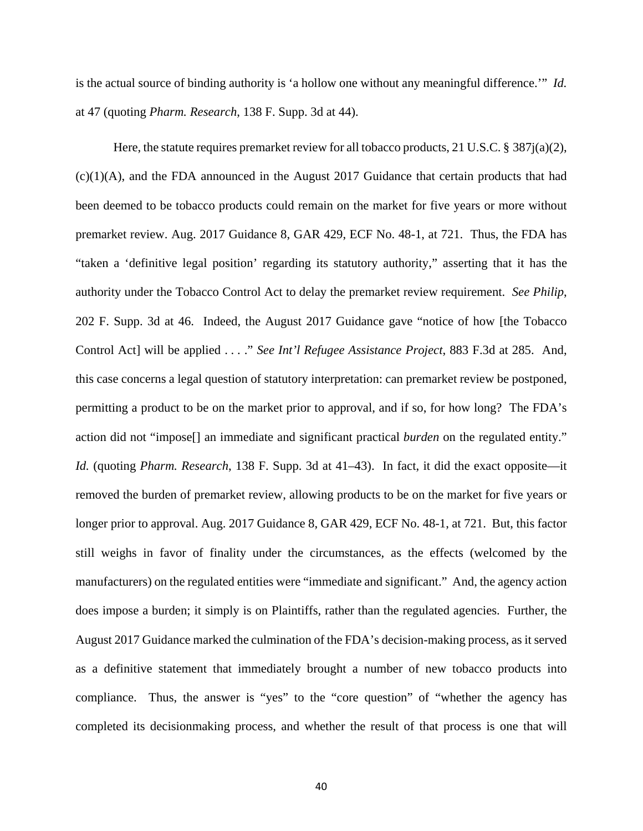is the actual source of binding authority is 'a hollow one without any meaningful difference.'" *Id.*  at 47 (quoting *Pharm. Research*, 138 F. Supp. 3d at 44).

Here, the statute requires premarket review for all tobacco products, 21 U.S.C.  $\S 387i(a)(2)$ , (c)(1)(A), and the FDA announced in the August 2017 Guidance that certain products that had been deemed to be tobacco products could remain on the market for five years or more without premarket review. Aug. 2017 Guidance 8, GAR 429, ECF No. 48-1, at 721. Thus, the FDA has "taken a 'definitive legal position' regarding its statutory authority," asserting that it has the authority under the Tobacco Control Act to delay the premarket review requirement. *See Philip*, 202 F. Supp. 3d at 46. Indeed, the August 2017 Guidance gave "notice of how [the Tobacco Control Act] will be applied . . . ." *See Int'l Refugee Assistance Project*, 883 F.3d at 285. And, this case concerns a legal question of statutory interpretation: can premarket review be postponed, permitting a product to be on the market prior to approval, and if so, for how long? The FDA's action did not "impose[] an immediate and significant practical *burden* on the regulated entity." *Id.* (quoting *Pharm. Research*, 138 F. Supp. 3d at 41–43). In fact, it did the exact opposite—it removed the burden of premarket review, allowing products to be on the market for five years or longer prior to approval. Aug. 2017 Guidance 8, GAR 429, ECF No. 48-1, at 721. But, this factor still weighs in favor of finality under the circumstances, as the effects (welcomed by the manufacturers) on the regulated entities were "immediate and significant." And, the agency action does impose a burden; it simply is on Plaintiffs, rather than the regulated agencies. Further, the August 2017 Guidance marked the culmination of the FDA's decision-making process, as it served as a definitive statement that immediately brought a number of new tobacco products into compliance. Thus, the answer is "yes" to the "core question" of "whether the agency has completed its decisionmaking process, and whether the result of that process is one that will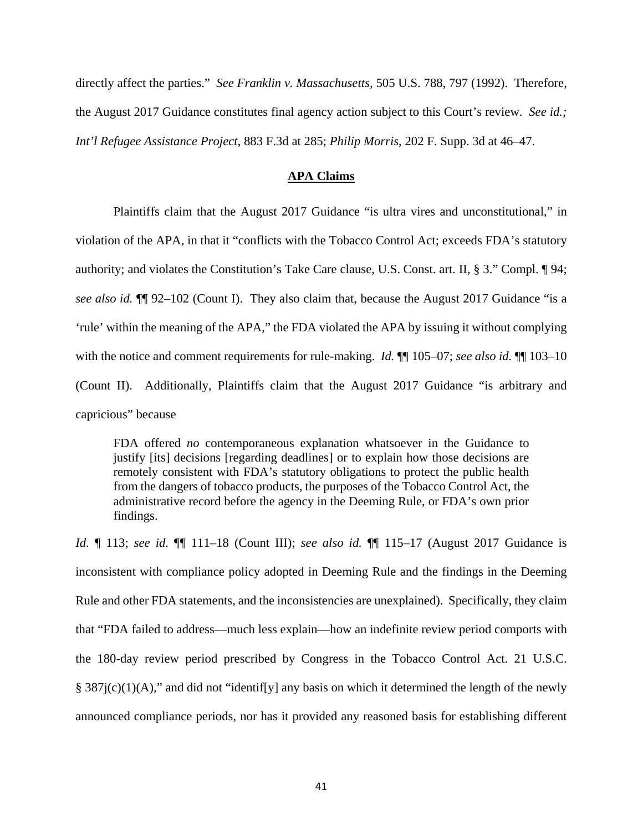directly affect the parties." *See Franklin v. Massachusetts,* 505 U.S. 788, 797 (1992). Therefore, the August 2017 Guidance constitutes final agency action subject to this Court's review. *See id.; Int'l Refugee Assistance Project*, 883 F.3d at 285; *Philip Morris*, 202 F. Supp. 3d at 46–47.

## **APA Claims**

Plaintiffs claim that the August 2017 Guidance "is ultra vires and unconstitutional," in violation of the APA, in that it "conflicts with the Tobacco Control Act; exceeds FDA's statutory authority; and violates the Constitution's Take Care clause, U.S. Const. art. II, § 3." Compl. ¶ 94; *see also id.* ¶¶ 92–102 (Count I). They also claim that, because the August 2017 Guidance "is a 'rule' within the meaning of the APA," the FDA violated the APA by issuing it without complying with the notice and comment requirements for rule-making. *Id.*  $\mathbb{I}$  105–07; *see also id.*  $\mathbb{I}$  103–10 (Count II). Additionally, Plaintiffs claim that the August 2017 Guidance "is arbitrary and capricious" because

FDA offered *no* contemporaneous explanation whatsoever in the Guidance to justify [its] decisions [regarding deadlines] or to explain how those decisions are remotely consistent with FDA's statutory obligations to protect the public health from the dangers of tobacco products, the purposes of the Tobacco Control Act, the administrative record before the agency in the Deeming Rule, or FDA's own prior findings.

*Id.* ¶ 113; *see id.* ¶¶ 111–18 (Count III); *see also id.* ¶¶ 115–17 (August 2017 Guidance is inconsistent with compliance policy adopted in Deeming Rule and the findings in the Deeming Rule and other FDA statements, and the inconsistencies are unexplained). Specifically, they claim that "FDA failed to address—much less explain—how an indefinite review period comports with the 180-day review period prescribed by Congress in the Tobacco Control Act. 21 U.S.C. §  $387j(c)(1)(A)$ ," and did not "identif[y] any basis on which it determined the length of the newly announced compliance periods, nor has it provided any reasoned basis for establishing different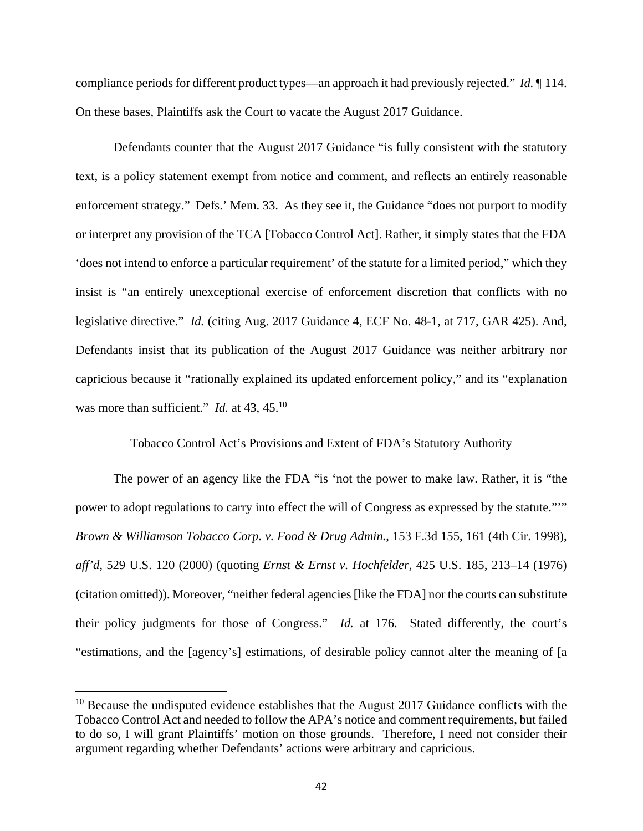compliance periods for different product types—an approach it had previously rejected." *Id.* ¶ 114. On these bases, Plaintiffs ask the Court to vacate the August 2017 Guidance.

Defendants counter that the August 2017 Guidance "is fully consistent with the statutory text, is a policy statement exempt from notice and comment, and reflects an entirely reasonable enforcement strategy." Defs.' Mem. 33. As they see it, the Guidance "does not purport to modify or interpret any provision of the TCA [Tobacco Control Act]. Rather, it simply states that the FDA 'does not intend to enforce a particular requirement' of the statute for a limited period," which they insist is "an entirely unexceptional exercise of enforcement discretion that conflicts with no legislative directive." *Id.* (citing Aug. 2017 Guidance 4, ECF No. 48-1, at 717, GAR 425). And, Defendants insist that its publication of the August 2017 Guidance was neither arbitrary nor capricious because it "rationally explained its updated enforcement policy," and its "explanation was more than sufficient." *Id.* at 43, 45.<sup>10</sup>

### Tobacco Control Act's Provisions and Extent of FDA's Statutory Authority

The power of an agency like the FDA "is 'not the power to make law. Rather, it is "the power to adopt regulations to carry into effect the will of Congress as expressed by the statute.""" *Brown & Williamson Tobacco Corp. v. Food & Drug Admin.*, 153 F.3d 155, 161 (4th Cir. 1998), *aff'd,* 529 U.S. 120 (2000) (quoting *Ernst & Ernst v. Hochfelder,* 425 U.S. 185, 213–14 (1976) (citation omitted)). Moreover, "neither federal agencies [like the FDA] nor the courts can substitute their policy judgments for those of Congress." *Id.* at 176. Stated differently, the court's "estimations, and the [agency's] estimations, of desirable policy cannot alter the meaning of [a

<u>.</u>

 $10$  Because the undisputed evidence establishes that the August 2017 Guidance conflicts with the Tobacco Control Act and needed to follow the APA's notice and comment requirements, but failed to do so, I will grant Plaintiffs' motion on those grounds. Therefore, I need not consider their argument regarding whether Defendants' actions were arbitrary and capricious.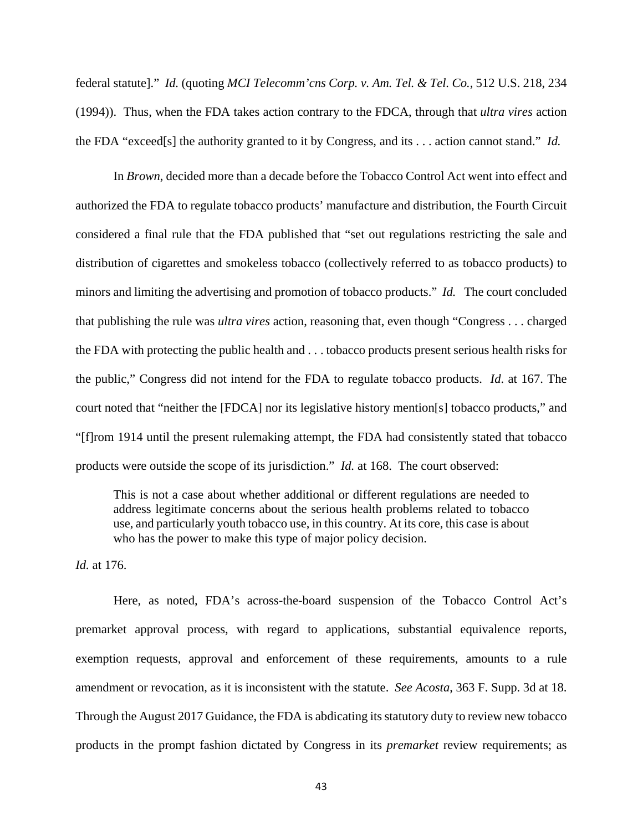federal statute]." *Id.* (quoting *MCI Telecomm'cns Corp. v. Am. Tel. & Tel. Co.*, 512 U.S. 218, 234 (1994)). Thus, when the FDA takes action contrary to the FDCA, through that *ultra vires* action the FDA "exceed[s] the authority granted to it by Congress, and its . . . action cannot stand." *Id.*

In *Brown*, decided more than a decade before the Tobacco Control Act went into effect and authorized the FDA to regulate tobacco products' manufacture and distribution, the Fourth Circuit considered a final rule that the FDA published that "set out regulations restricting the sale and distribution of cigarettes and smokeless tobacco (collectively referred to as tobacco products) to minors and limiting the advertising and promotion of tobacco products." *Id.* The court concluded that publishing the rule was *ultra vires* action, reasoning that, even though "Congress . . . charged the FDA with protecting the public health and . . . tobacco products present serious health risks for the public," Congress did not intend for the FDA to regulate tobacco products. *Id*. at 167. The court noted that "neither the [FDCA] nor its legislative history mention[s] tobacco products," and "[f]rom 1914 until the present rulemaking attempt, the FDA had consistently stated that tobacco products were outside the scope of its jurisdiction." *Id.* at 168. The court observed:

This is not a case about whether additional or different regulations are needed to address legitimate concerns about the serious health problems related to tobacco use, and particularly youth tobacco use, in this country. At its core, this case is about who has the power to make this type of major policy decision.

*Id.* at 176.

Here, as noted, FDA's across-the-board suspension of the Tobacco Control Act's premarket approval process, with regard to applications, substantial equivalence reports, exemption requests, approval and enforcement of these requirements, amounts to a rule amendment or revocation, as it is inconsistent with the statute. *See Acosta*, 363 F. Supp. 3d at 18. Through the August 2017 Guidance, the FDA is abdicating its statutory duty to review new tobacco products in the prompt fashion dictated by Congress in its *premarket* review requirements; as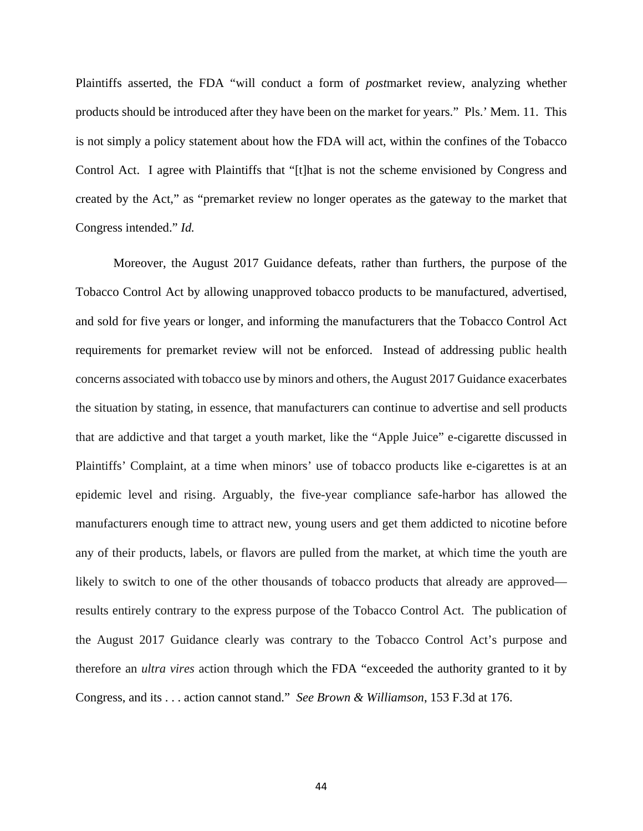Plaintiffs asserted, the FDA "will conduct a form of *post*market review, analyzing whether products should be introduced after they have been on the market for years." Pls.' Mem. 11. This is not simply a policy statement about how the FDA will act, within the confines of the Tobacco Control Act. I agree with Plaintiffs that "[t]hat is not the scheme envisioned by Congress and created by the Act," as "premarket review no longer operates as the gateway to the market that Congress intended." *Id.*

Moreover, the August 2017 Guidance defeats, rather than furthers, the purpose of the Tobacco Control Act by allowing unapproved tobacco products to be manufactured, advertised, and sold for five years or longer, and informing the manufacturers that the Tobacco Control Act requirements for premarket review will not be enforced. Instead of addressing public health concerns associated with tobacco use by minors and others, the August 2017 Guidance exacerbates the situation by stating, in essence, that manufacturers can continue to advertise and sell products that are addictive and that target a youth market, like the "Apple Juice" e-cigarette discussed in Plaintiffs' Complaint, at a time when minors' use of tobacco products like e-cigarettes is at an epidemic level and rising. Arguably, the five-year compliance safe-harbor has allowed the manufacturers enough time to attract new, young users and get them addicted to nicotine before any of their products, labels, or flavors are pulled from the market, at which time the youth are likely to switch to one of the other thousands of tobacco products that already are approved results entirely contrary to the express purpose of the Tobacco Control Act. The publication of the August 2017 Guidance clearly was contrary to the Tobacco Control Act's purpose and therefore an *ultra vires* action through which the FDA "exceeded the authority granted to it by Congress, and its . . . action cannot stand." *See Brown & Williamson*, 153 F.3d at 176.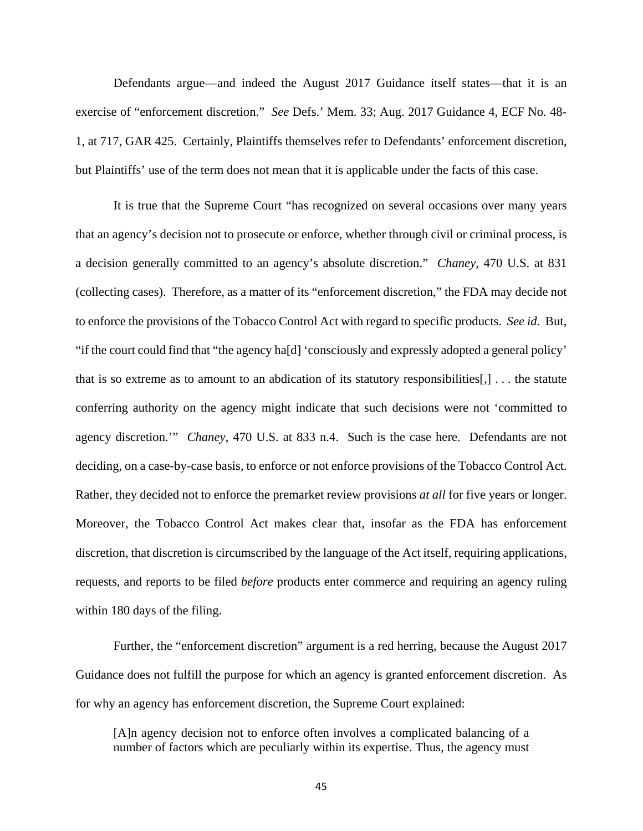Defendants argue—and indeed the August 2017 Guidance itself states—that it is an exercise of "enforcement discretion." *See* Defs.' Mem. 33; Aug. 2017 Guidance 4, ECF No. 48- 1, at 717, GAR 425. Certainly, Plaintiffs themselves refer to Defendants' enforcement discretion, but Plaintiffs' use of the term does not mean that it is applicable under the facts of this case.

It is true that the Supreme Court "has recognized on several occasions over many years that an agency's decision not to prosecute or enforce, whether through civil or criminal process, is a decision generally committed to an agency's absolute discretion." *Chaney,* 470 U.S. at 831 (collecting cases). Therefore, as a matter of its "enforcement discretion," the FDA may decide not to enforce the provisions of the Tobacco Control Act with regard to specific products. *See id.* But, "if the court could find that "the agency ha[d] 'consciously and expressly adopted a general policy' that is so extreme as to amount to an abdication of its statutory responsibilities $[,] \ldots$  the statute conferring authority on the agency might indicate that such decisions were not 'committed to agency discretion.'" *Chaney*, 470 U.S. at 833 n.4. Such is the case here. Defendants are not deciding, on a case-by-case basis, to enforce or not enforce provisions of the Tobacco Control Act. Rather, they decided not to enforce the premarket review provisions *at all* for five years or longer. Moreover, the Tobacco Control Act makes clear that, insofar as the FDA has enforcement discretion, that discretion is circumscribed by the language of the Act itself, requiring applications, requests, and reports to be filed *before* products enter commerce and requiring an agency ruling within 180 days of the filing.

Further, the "enforcement discretion" argument is a red herring, because the August 2017 Guidance does not fulfill the purpose for which an agency is granted enforcement discretion. As for why an agency has enforcement discretion, the Supreme Court explained:

[A]n agency decision not to enforce often involves a complicated balancing of a number of factors which are peculiarly within its expertise. Thus, the agency must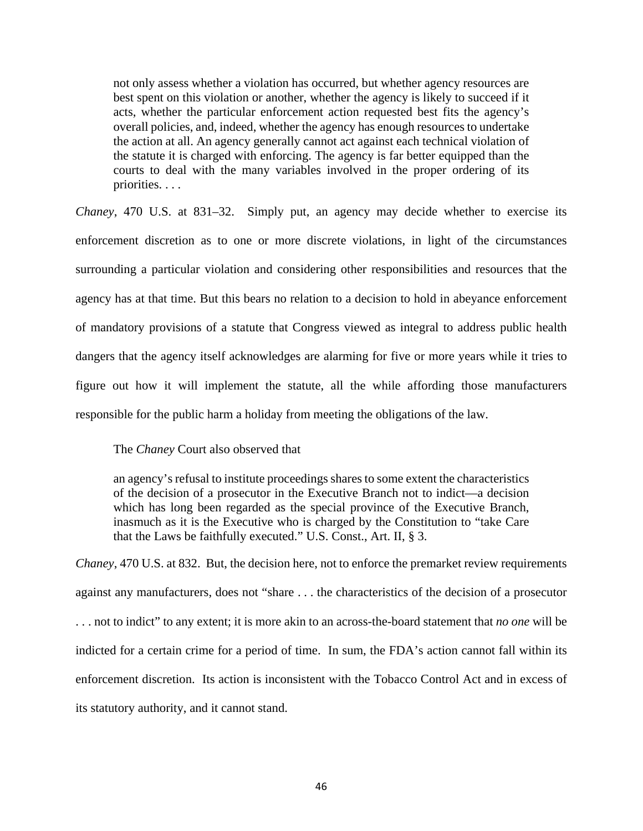not only assess whether a violation has occurred, but whether agency resources are best spent on this violation or another, whether the agency is likely to succeed if it acts, whether the particular enforcement action requested best fits the agency's overall policies, and, indeed, whether the agency has enough resources to undertake the action at all. An agency generally cannot act against each technical violation of the statute it is charged with enforcing. The agency is far better equipped than the courts to deal with the many variables involved in the proper ordering of its priorities. . . .

*Chaney*, 470 U.S. at 831–32. Simply put, an agency may decide whether to exercise its enforcement discretion as to one or more discrete violations, in light of the circumstances surrounding a particular violation and considering other responsibilities and resources that the agency has at that time. But this bears no relation to a decision to hold in abeyance enforcement of mandatory provisions of a statute that Congress viewed as integral to address public health dangers that the agency itself acknowledges are alarming for five or more years while it tries to figure out how it will implement the statute, all the while affording those manufacturers responsible for the public harm a holiday from meeting the obligations of the law.

## The *Chaney* Court also observed that

an agency's refusal to institute proceedings shares to some extent the characteristics of the decision of a prosecutor in the Executive Branch not to indict—a decision which has long been regarded as the special province of the Executive Branch, inasmuch as it is the Executive who is charged by the Constitution to "take Care that the Laws be faithfully executed." U.S. Const., Art. II, § 3.

*Chaney*, 470 U.S. at 832. But, the decision here, not to enforce the premarket review requirements against any manufacturers, does not "share . . . the characteristics of the decision of a prosecutor . . . not to indict" to any extent; it is more akin to an across-the-board statement that *no one* will be indicted for a certain crime for a period of time. In sum, the FDA's action cannot fall within its enforcement discretion. Its action is inconsistent with the Tobacco Control Act and in excess of its statutory authority, and it cannot stand.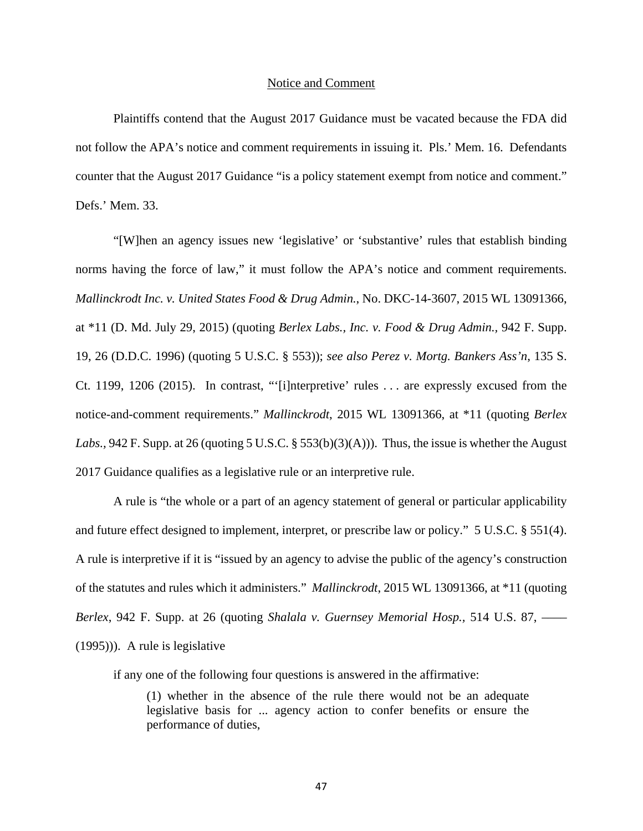#### Notice and Comment

Plaintiffs contend that the August 2017 Guidance must be vacated because the FDA did not follow the APA's notice and comment requirements in issuing it. Pls.' Mem. 16. Defendants counter that the August 2017 Guidance "is a policy statement exempt from notice and comment." Defs.' Mem. 33.

"[W]hen an agency issues new 'legislative' or 'substantive' rules that establish binding norms having the force of law," it must follow the APA's notice and comment requirements. *Mallinckrodt Inc. v. United States Food & Drug Admin.*, No. DKC-14-3607, 2015 WL 13091366, at \*11 (D. Md. July 29, 2015) (quoting *Berlex Labs., Inc. v. Food & Drug Admin.,* 942 F. Supp. 19, 26 (D.D.C. 1996) (quoting 5 U.S.C. § 553)); *see also Perez v. Mortg. Bankers Ass'n*, 135 S. Ct. 1199, 1206 (2015). In contrast, "'[i]nterpretive' rules . . . are expressly excused from the notice-and-comment requirements." *Mallinckrodt*, 2015 WL 13091366, at \*11 (quoting *Berlex Labs.*, 942 F. Supp. at 26 (quoting 5 U.S.C. § 553(b)(3)(A))). Thus, the issue is whether the August 2017 Guidance qualifies as a legislative rule or an interpretive rule.

A rule is "the whole or a part of an agency statement of general or particular applicability and future effect designed to implement, interpret, or prescribe law or policy." 5 U.S.C. § 551(4). A rule is interpretive if it is "issued by an agency to advise the public of the agency's construction of the statutes and rules which it administers." *Mallinckrodt*, 2015 WL 13091366, at \*11 (quoting *Berlex*, 942 F. Supp. at 26 (quoting *Shalala v. Guernsey Memorial Hosp.,* 514 U.S. 87, –––– (1995))). A rule is legislative

if any one of the following four questions is answered in the affirmative:

(1) whether in the absence of the rule there would not be an adequate legislative basis for ... agency action to confer benefits or ensure the performance of duties,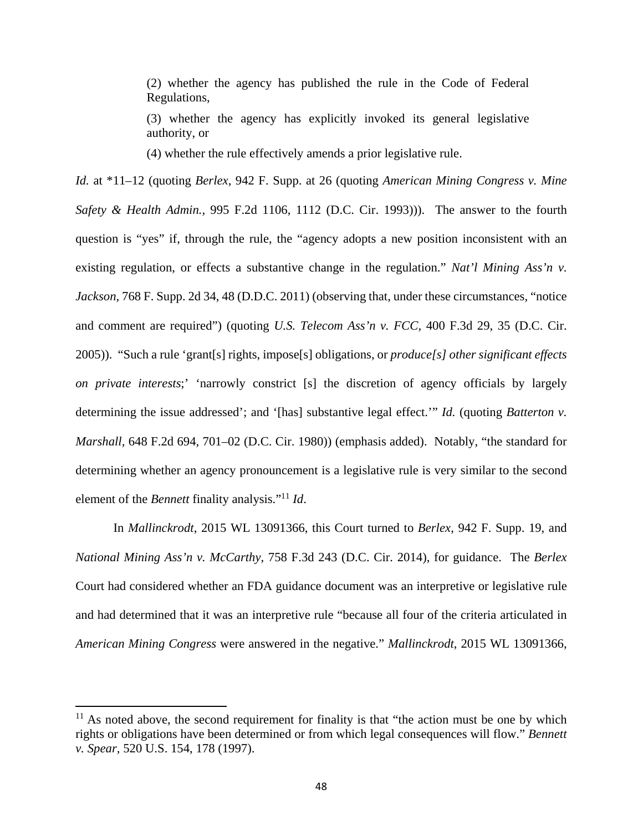(2) whether the agency has published the rule in the Code of Federal Regulations,

(3) whether the agency has explicitly invoked its general legislative authority, or

(4) whether the rule effectively amends a prior legislative rule.

*Id.* at \*11–12 (quoting *Berlex*, 942 F. Supp. at 26 (quoting *American Mining Congress v. Mine Safety & Health Admin.,* 995 F.2d 1106, 1112 (D.C. Cir. 1993))). The answer to the fourth question is "yes" if, through the rule, the "agency adopts a new position inconsistent with an existing regulation, or effects a substantive change in the regulation." *Nat'l Mining Ass'n v. Jackson*, 768 F. Supp. 2d 34, 48 (D.D.C. 2011) (observing that, under these circumstances, "notice and comment are required") (quoting *U.S. Telecom Ass'n v. FCC,* 400 F.3d 29, 35 (D.C. Cir. 2005)). "Such a rule 'grant[s] rights, impose[s] obligations, or *produce[s] other significant effects on private interests*;' 'narrowly constrict [s] the discretion of agency officials by largely determining the issue addressed'; and '[has] substantive legal effect.'" *Id.* (quoting *Batterton v. Marshall,* 648 F.2d 694, 701–02 (D.C. Cir. 1980)) (emphasis added). Notably, "the standard for determining whether an agency pronouncement is a legislative rule is very similar to the second element of the *Bennett* finality analysis."11 *Id*.

In *Mallinckrodt*, 2015 WL 13091366, this Court turned to *Berlex*, 942 F. Supp. 19, and *National Mining Ass'n v. McCarthy,* 758 F.3d 243 (D.C. Cir. 2014), for guidance. The *Berlex*  Court had considered whether an FDA guidance document was an interpretive or legislative rule and had determined that it was an interpretive rule "because all four of the criteria articulated in *American Mining Congress* were answered in the negative." *Mallinckrodt*, 2015 WL 13091366,

 $11$  As noted above, the second requirement for finality is that "the action must be one by which rights or obligations have been determined or from which legal consequences will flow." *Bennett v. Spear,* 520 U.S. 154, 178 (1997).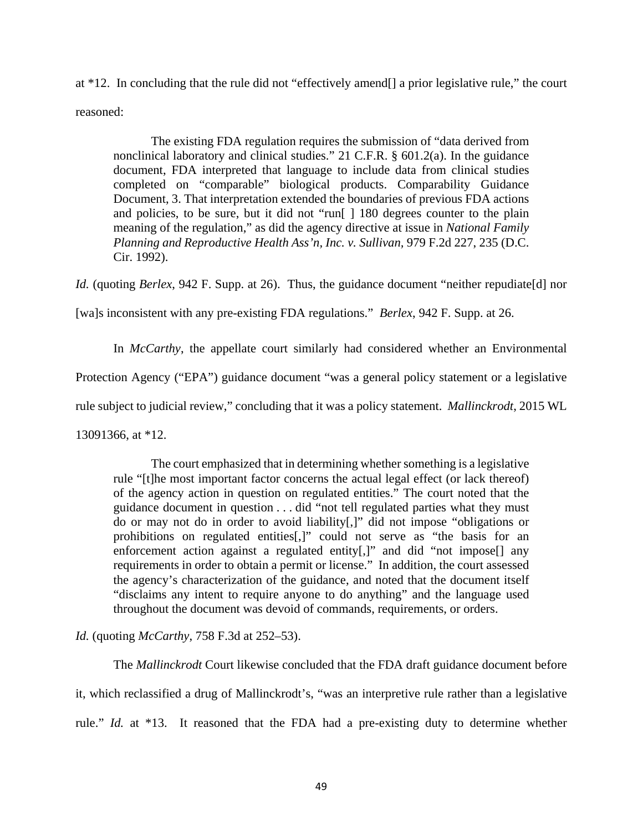at \*12. In concluding that the rule did not "effectively amend[] a prior legislative rule," the court reasoned:

The existing FDA regulation requires the submission of "data derived from nonclinical laboratory and clinical studies." 21 C.F.R. § 601.2(a). In the guidance document, FDA interpreted that language to include data from clinical studies completed on "comparable" biological products. Comparability Guidance Document, 3. That interpretation extended the boundaries of previous FDA actions and policies, to be sure, but it did not "run[ ] 180 degrees counter to the plain meaning of the regulation," as did the agency directive at issue in *National Family Planning and Reproductive Health Ass'n, Inc. v. Sullivan,* 979 F.2d 227, 235 (D.C. Cir. 1992).

*Id.* (quoting *Berlex*, 942 F. Supp. at 26). Thus, the guidance document "neither repudiate [d] nor

[wa]s inconsistent with any pre-existing FDA regulations." *Berlex*, 942 F. Supp. at 26.

In *McCarthy*, the appellate court similarly had considered whether an Environmental

Protection Agency ("EPA") guidance document "was a general policy statement or a legislative

rule subject to judicial review," concluding that it was a policy statement. *Mallinckrodt*, 2015 WL

13091366, at \*12.

The court emphasized that in determining whether something is a legislative rule "[t]he most important factor concerns the actual legal effect (or lack thereof) of the agency action in question on regulated entities." The court noted that the guidance document in question . . . did "not tell regulated parties what they must do or may not do in order to avoid liability[,]" did not impose "obligations or prohibitions on regulated entities[,]" could not serve as "the basis for an enforcement action against a regulated entity[,]" and did "not impose[] any requirements in order to obtain a permit or license." In addition, the court assessed the agency's characterization of the guidance, and noted that the document itself "disclaims any intent to require anyone to do anything" and the language used throughout the document was devoid of commands, requirements, or orders.

*Id.* (quoting *McCarthy*, 758 F.3d at 252–53).

The *Mallinckrodt* Court likewise concluded that the FDA draft guidance document before it, which reclassified a drug of Mallinckrodt's, "was an interpretive rule rather than a legislative rule." *Id.* at \*13. It reasoned that the FDA had a pre-existing duty to determine whether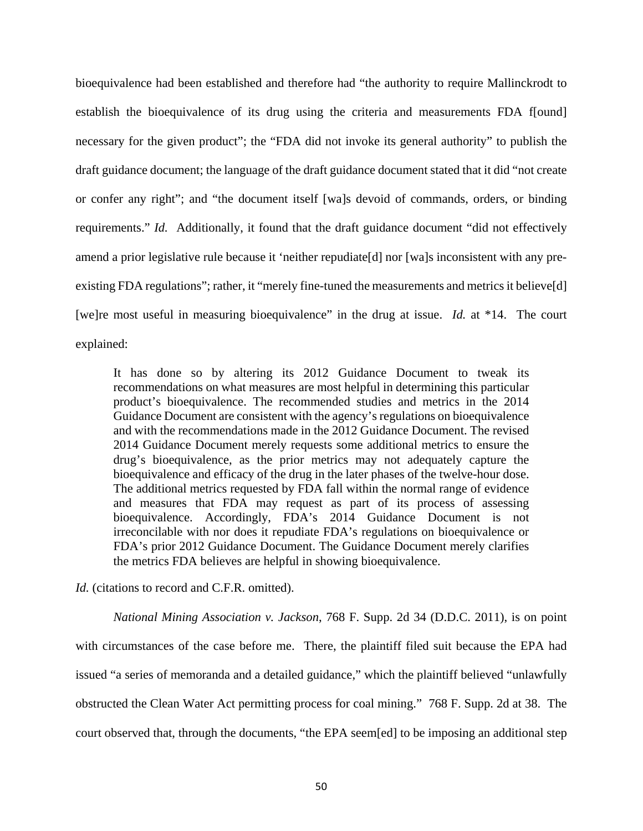bioequivalence had been established and therefore had "the authority to require Mallinckrodt to establish the bioequivalence of its drug using the criteria and measurements FDA f[ound] necessary for the given product"; the "FDA did not invoke its general authority" to publish the draft guidance document; the language of the draft guidance document stated that it did "not create or confer any right"; and "the document itself [wa]s devoid of commands, orders, or binding requirements." *Id.* Additionally, it found that the draft guidance document "did not effectively amend a prior legislative rule because it 'neither repudiate[d] nor [wa]s inconsistent with any preexisting FDA regulations"; rather, it "merely fine-tuned the measurements and metrics it believe[d] [we]re most useful in measuring bioequivalence" in the drug at issue. *Id.* at \*14. The court explained:

It has done so by altering its 2012 Guidance Document to tweak its recommendations on what measures are most helpful in determining this particular product's bioequivalence. The recommended studies and metrics in the 2014 Guidance Document are consistent with the agency's regulations on bioequivalence and with the recommendations made in the 2012 Guidance Document. The revised 2014 Guidance Document merely requests some additional metrics to ensure the drug's bioequivalence, as the prior metrics may not adequately capture the bioequivalence and efficacy of the drug in the later phases of the twelve-hour dose. The additional metrics requested by FDA fall within the normal range of evidence and measures that FDA may request as part of its process of assessing bioequivalence. Accordingly, FDA's 2014 Guidance Document is not irreconcilable with nor does it repudiate FDA's regulations on bioequivalence or FDA's prior 2012 Guidance Document. The Guidance Document merely clarifies the metrics FDA believes are helpful in showing bioequivalence.

*Id.* (citations to record and C.F.R. omitted).

*National Mining Association v. Jackson*, 768 F. Supp. 2d 34 (D.D.C. 2011), is on point with circumstances of the case before me. There, the plaintiff filed suit because the EPA had issued "a series of memoranda and a detailed guidance," which the plaintiff believed "unlawfully obstructed the Clean Water Act permitting process for coal mining." 768 F. Supp. 2d at 38. The court observed that, through the documents, "the EPA seem[ed] to be imposing an additional step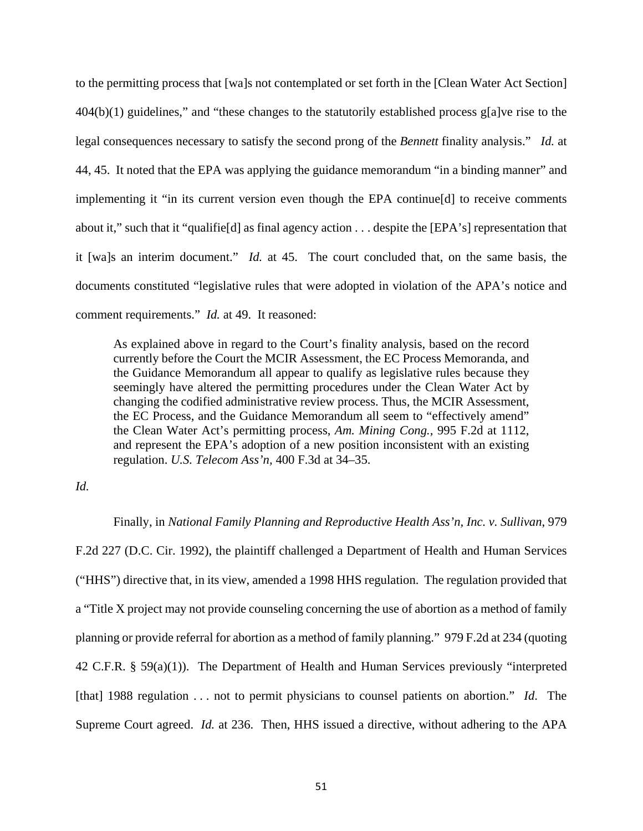to the permitting process that [wa]s not contemplated or set forth in the [Clean Water Act Section] 404(b)(1) guidelines," and "these changes to the statutorily established process g[a]ve rise to the legal consequences necessary to satisfy the second prong of the *Bennett* finality analysis." *Id.* at 44, 45. It noted that the EPA was applying the guidance memorandum "in a binding manner" and implementing it "in its current version even though the EPA continue[d] to receive comments about it," such that it "qualifie[d] as final agency action . . . despite the [EPA's] representation that it [wa]s an interim document." *Id.* at 45. The court concluded that, on the same basis, the documents constituted "legislative rules that were adopted in violation of the APA's notice and comment requirements." *Id.* at 49. It reasoned:

As explained above in regard to the Court's finality analysis, based on the record currently before the Court the MCIR Assessment, the EC Process Memoranda, and the Guidance Memorandum all appear to qualify as legislative rules because they seemingly have altered the permitting procedures under the Clean Water Act by changing the codified administrative review process. Thus, the MCIR Assessment, the EC Process, and the Guidance Memorandum all seem to "effectively amend" the Clean Water Act's permitting process, *Am. Mining Cong.,* 995 F.2d at 1112, and represent the EPA's adoption of a new position inconsistent with an existing regulation. *U.S. Telecom Ass'n,* 400 F.3d at 34–35.

## *Id.*

#### Finally, in *National Family Planning and Reproductive Health Ass'n, Inc. v. Sullivan*, 979

F.2d 227 (D.C. Cir. 1992), the plaintiff challenged a Department of Health and Human Services ("HHS") directive that, in its view, amended a 1998 HHS regulation. The regulation provided that a "Title X project may not provide counseling concerning the use of abortion as a method of family planning or provide referral for abortion as a method of family planning." 979 F.2d at 234 (quoting 42 C.F.R. § 59(a)(1)). The Department of Health and Human Services previously "interpreted [that] 1988 regulation . . . not to permit physicians to counsel patients on abortion." *Id*. The Supreme Court agreed. *Id.* at 236. Then, HHS issued a directive, without adhering to the APA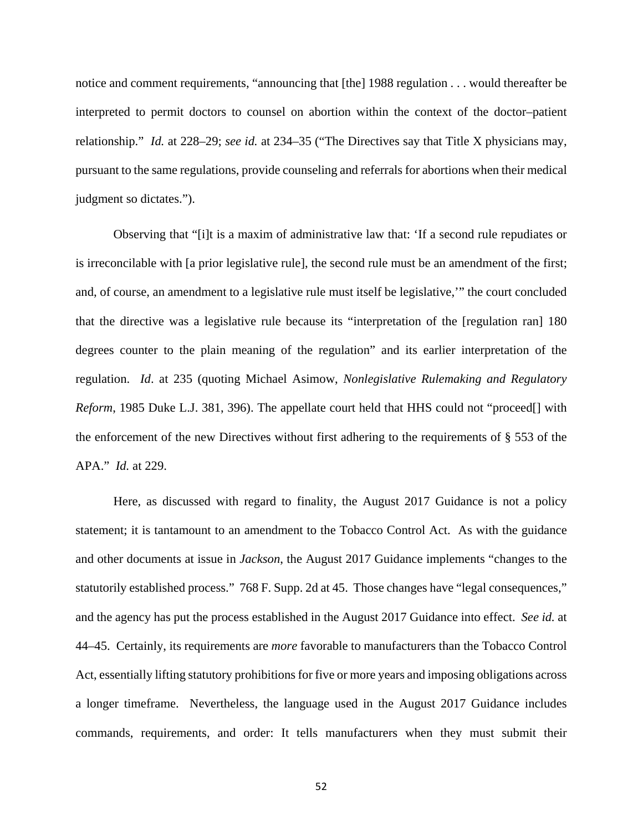notice and comment requirements, "announcing that [the] 1988 regulation . . . would thereafter be interpreted to permit doctors to counsel on abortion within the context of the doctor–patient relationship." *Id.* at 228–29; *see id.* at 234–35 ("The Directives say that Title X physicians may, pursuant to the same regulations, provide counseling and referrals for abortions when their medical judgment so dictates.").

Observing that "[i]t is a maxim of administrative law that: 'If a second rule repudiates or is irreconcilable with [a prior legislative rule], the second rule must be an amendment of the first; and, of course, an amendment to a legislative rule must itself be legislative,'" the court concluded that the directive was a legislative rule because its "interpretation of the [regulation ran] 180 degrees counter to the plain meaning of the regulation" and its earlier interpretation of the regulation. *Id*. at 235 (quoting Michael Asimow, *Nonlegislative Rulemaking and Regulatory Reform*, 1985 Duke L.J. 381, 396). The appellate court held that HHS could not "proceed[] with the enforcement of the new Directives without first adhering to the requirements of § 553 of the APA." *Id.* at 229.

Here, as discussed with regard to finality, the August 2017 Guidance is not a policy statement; it is tantamount to an amendment to the Tobacco Control Act. As with the guidance and other documents at issue in *Jackson*, the August 2017 Guidance implements "changes to the statutorily established process." 768 F. Supp. 2d at 45. Those changes have "legal consequences," and the agency has put the process established in the August 2017 Guidance into effect. *See id.* at 44–45. Certainly, its requirements are *more* favorable to manufacturers than the Tobacco Control Act, essentially lifting statutory prohibitions for five or more years and imposing obligations across a longer timeframe. Nevertheless, the language used in the August 2017 Guidance includes commands, requirements, and order: It tells manufacturers when they must submit their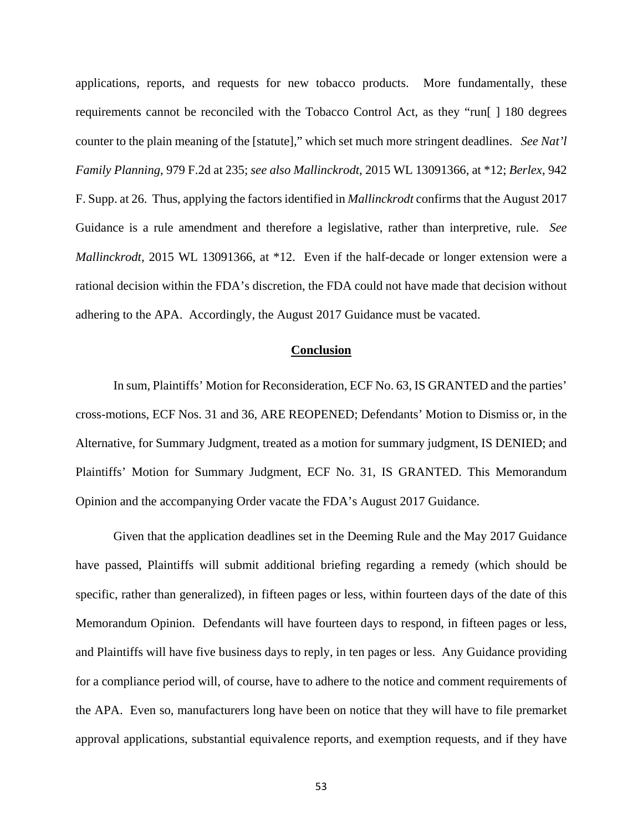applications, reports, and requests for new tobacco products. More fundamentally, these requirements cannot be reconciled with the Tobacco Control Act, as they "run[ ] 180 degrees counter to the plain meaning of the [statute]," which set much more stringent deadlines. *See Nat'l Family Planning*, 979 F.2d at 235; *see also Mallinckrodt*, 2015 WL 13091366, at \*12; *Berlex*, 942 F. Supp. at 26. Thus, applying the factors identified in *Mallinckrodt* confirms that the August 2017 Guidance is a rule amendment and therefore a legislative, rather than interpretive, rule. *See Mallinckrodt*, 2015 WL 13091366, at \*12.Even if the half-decade or longer extension were a rational decision within the FDA's discretion, the FDA could not have made that decision without adhering to the APA. Accordingly, the August 2017 Guidance must be vacated.

## **Conclusion**

In sum, Plaintiffs' Motion for Reconsideration, ECF No. 63, IS GRANTED and the parties' cross-motions, ECF Nos. 31 and 36, ARE REOPENED; Defendants' Motion to Dismiss or, in the Alternative, for Summary Judgment, treated as a motion for summary judgment, IS DENIED; and Plaintiffs' Motion for Summary Judgment, ECF No. 31, IS GRANTED. This Memorandum Opinion and the accompanying Order vacate the FDA's August 2017 Guidance.

Given that the application deadlines set in the Deeming Rule and the May 2017 Guidance have passed, Plaintiffs will submit additional briefing regarding a remedy (which should be specific, rather than generalized), in fifteen pages or less, within fourteen days of the date of this Memorandum Opinion. Defendants will have fourteen days to respond, in fifteen pages or less, and Plaintiffs will have five business days to reply, in ten pages or less. Any Guidance providing for a compliance period will, of course, have to adhere to the notice and comment requirements of the APA. Even so, manufacturers long have been on notice that they will have to file premarket approval applications, substantial equivalence reports, and exemption requests, and if they have